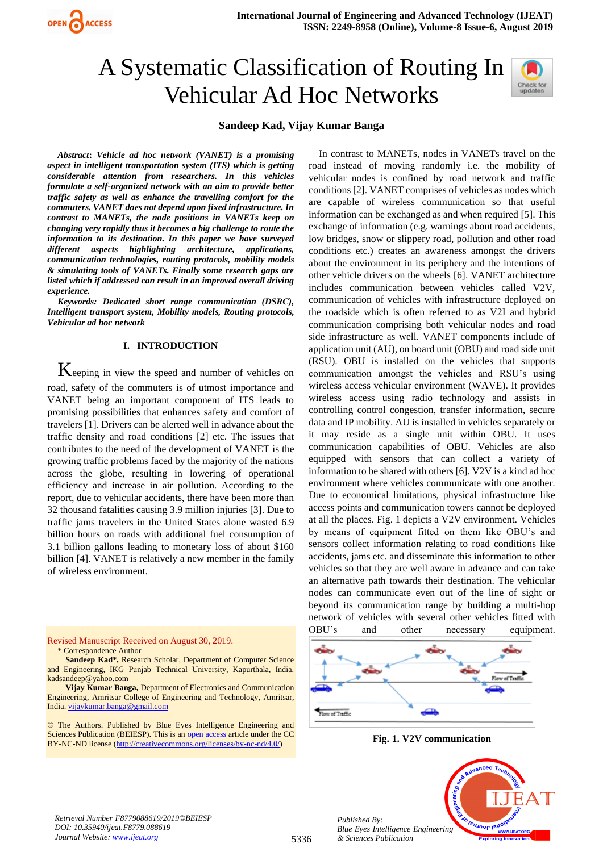



## **Sandeep Kad, Vijay Kumar Banga**

*Abstract***:** *Vehicle ad hoc network (VANET) is a promising aspect in intelligent transportation system (ITS) which is getting considerable attention from researchers. In this vehicles formulate a self-organized network with an aim to provide better traffic safety as well as enhance the travelling comfort for the commuters. VANET does not depend upon fixed infrastructure. In contrast to MANETs, the node positions in VANETs keep on changing very rapidly thus it becomes a big challenge to route the information to its destination. In this paper we have surveyed different aspects highlighting architecture, applications, communication technologies, routing protocols, mobility models & simulating tools of VANETs. Finally some research gaps are listed which if addressed can result in an improved overall driving experience.* 

*Keywords: Dedicated short range communication (DSRC), Intelligent transport system, Mobility models, Routing protocols, Vehicular ad hoc network*

#### **I. INTRODUCTION**

Keeping in view the speed and number of vehicles on road, safety of the commuters is of utmost importance and VANET being an important component of ITS leads to promising possibilities that enhances safety and comfort of travelers [1]. Drivers can be alerted well in advance about the traffic density and road conditions [2] etc. The issues that contributes to the need of the development of VANET is the growing traffic problems faced by the majority of the nations across the globe, resulting in lowering of operational efficiency and increase in air pollution. According to the report, due to vehicular accidents, there have been more than 32 thousand fatalities causing 3.9 million injuries [3]. Due to traffic jams travelers in the United States alone wasted 6.9 billion hours on roads with additional fuel consumption of 3.1 billion gallons leading to monetary loss of about \$160 billion [4]. VANET is relatively a new member in the family of wireless environment.

#### Revised Manuscript Received on August 30, 2019. \* Correspondence Author

**Sandeep Kad\*,** Research Scholar, Department of Computer Science and Engineering, IKG Punjab Technical University, Kapurthala, India. kadsandeep@yahoo.com

**Vijay Kumar Banga,** Department of Electronics and Communication Engineering, Amritsar College of Engineering and Technology, Amritsar, India[. vijaykumar.banga@gmail.com](mailto:vijaykumar.banga@gmail.com)

© The Authors. Published by Blue Eyes Intelligence Engineering and Sciences Publication (BEIESP). This is an [open access](https://www.openaccess.nl/en/open-publications) article under the CC BY-NC-ND license [\(http://creativecommons.org/licenses/by-nc-nd/4.0/\)](http://creativecommons.org/licenses/by-nc-nd/4.0/)

In contrast to MANETs, nodes in VANETs travel on the road instead of moving randomly i.e. the mobility of vehicular nodes is confined by road network and traffic conditions [2]. VANET comprises of vehicles as nodes which are capable of wireless communication so that useful information can be exchanged as and when required [5]. This exchange of information (e.g. warnings about road accidents, low bridges, snow or slippery road, pollution and other road conditions etc.) creates an awareness amongst the drivers about the environment in its periphery and the intentions of other vehicle drivers on the wheels [6]. VANET architecture includes communication between vehicles called V2V, communication of vehicles with infrastructure deployed on the roadside which is often referred to as V2I and hybrid communication comprising both vehicular nodes and road side infrastructure as well. VANET components include of application unit (AU), on board unit (OBU) and road side unit (RSU). OBU is installed on the vehicles that supports communication amongst the vehicles and RSU's using wireless access vehicular environment (WAVE). It provides wireless access using radio technology and assists in controlling control congestion, transfer information, secure data and IP mobility. AU is installed in vehicles separately or it may reside as a single unit within OBU. It uses communication capabilities of OBU. Vehicles are also equipped with sensors that can collect a variety of information to be shared with others [6]. V2V is a kind ad hoc environment where vehicles communicate with one another. Due to economical limitations, physical infrastructure like access points and communication towers cannot be deployed at all the places. Fig. 1 depicts a V2V environment. Vehicles by means of equipment fitted on them like OBU's and sensors collect information relating to road conditions like accidents, jams etc. and disseminate this information to other vehicles so that they are well aware in advance and can take an alternative path towards their destination. The vehicular nodes can communicate even out of the line of sight or beyond its communication range by building a multi-hop network of vehicles with several other vehicles fitted with OBU's and other necessary equipment.



**Fig. 1. V2V communication**



*Retrieval Number F8779088619/2019©BEIESP DOI: 10.35940/ijeat.F8779.088619 Journal Website[: www.ijeat.org](http://www.ijeat.org/)*

*Published By:*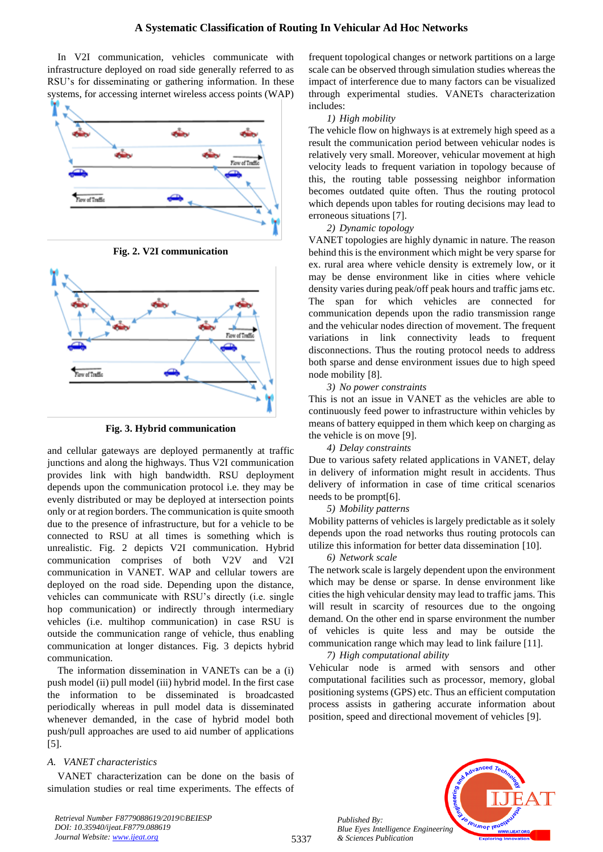In V2I communication, vehicles communicate with infrastructure deployed on road side generally referred to as RSU's for disseminating or gathering information. In these systems, for accessing internet wireless access points (WAP)







#### **Fig. 3. Hybrid communication**

and cellular gateways are deployed permanently at traffic junctions and along the highways. Thus V2I communication provides link with high bandwidth. RSU deployment depends upon the communication protocol i.e. they may be evenly distributed or may be deployed at intersection points only or at region borders. The communication is quite smooth due to the presence of infrastructure, but for a vehicle to be connected to RSU at all times is something which is unrealistic. Fig. 2 depicts V2I communication. Hybrid communication comprises of both V2V and V2I communication in VANET. WAP and cellular towers are deployed on the road side. Depending upon the distance, vehicles can communicate with RSU's directly (i.e. single hop communication) or indirectly through intermediary vehicles (i.e. multihop communication) in case RSU is outside the communication range of vehicle, thus enabling communication at longer distances. Fig. 3 depicts hybrid communication.

The information dissemination in VANETs can be a (i) push model (ii) pull model (iii) hybrid model. In the first case the information to be disseminated is broadcasted periodically whereas in pull model data is disseminated whenever demanded, in the case of hybrid model both push/pull approaches are used to aid number of applications [5].

#### *A. VANET characteristics*

VANET characterization can be done on the basis of simulation studies or real time experiments. The effects of frequent topological changes or network partitions on a large scale can be observed through simulation studies whereas the impact of interference due to many factors can be visualized through experimental studies. VANETs characterization includes:

#### *1) High mobility*

The vehicle flow on highways is at extremely high speed as a result the communication period between vehicular nodes is relatively very small. Moreover, vehicular movement at high velocity leads to frequent variation in topology because of this, the routing table possessing neighbor information becomes outdated quite often. Thus the routing protocol which depends upon tables for routing decisions may lead to erroneous situations [7].

# *2) Dynamic topology*

VANET topologies are highly dynamic in nature. The reason behind this is the environment which might be very sparse for ex. rural area where vehicle density is extremely low, or it may be dense environment like in cities where vehicle density varies during peak/off peak hours and traffic jams etc. The span for which vehicles are connected for communication depends upon the radio transmission range and the vehicular nodes direction of movement. The frequent variations in link connectivity leads to frequent disconnections. Thus the routing protocol needs to address both sparse and dense environment issues due to high speed node mobility [8].

# *3) No power constraints*

This is not an issue in VANET as the vehicles are able to continuously feed power to infrastructure within vehicles by means of battery equipped in them which keep on charging as the vehicle is on move [9].

# *4) Delay constraints*

Due to various safety related applications in VANET, delay in delivery of information might result in accidents. Thus delivery of information in case of time critical scenarios needs to be prompt[6].

#### *5) Mobility patterns*

Mobility patterns of vehicles is largely predictable as it solely depends upon the road networks thus routing protocols can utilize this information for better data dissemination [10].

#### *6) Network scale*

The network scale is largely dependent upon the environment which may be dense or sparse. In dense environment like cities the high vehicular density may lead to traffic jams. This will result in scarcity of resources due to the ongoing demand. On the other end in sparse environment the number of vehicles is quite less and may be outside the communication range which may lead to link failure [11].

*7) High computational ability*

Vehicular node is armed with sensors and other computational facilities such as processor, memory, global positioning systems (GPS) etc. Thus an efficient computation process assists in gathering accurate information about position, speed and directional movement of vehicles [9].

> *Published By: Blue Eyes Intelligence Engineering & Sciences Publication*



*Retrieval Number F8779088619/2019©BEIESP DOI: 10.35940/ijeat.F8779.088619 Journal Website[: www.ijeat.org](http://www.ijeat.org/)*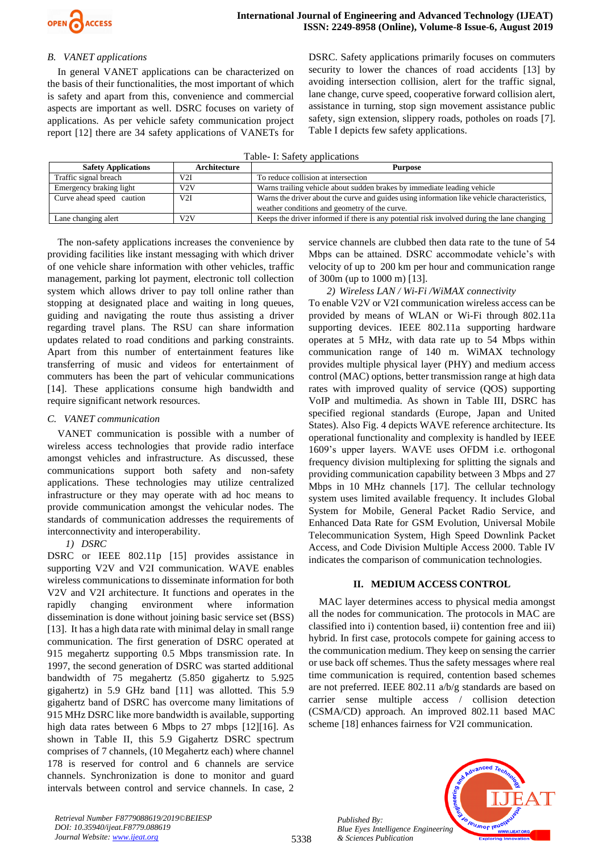

# *B. VANET applications*

In general VANET applications can be characterized on the basis of their functionalities, the most important of which is safety and apart from this, convenience and commercial aspects are important as well. DSRC focuses on variety of applications. As per vehicle safety communication project report [12] there are 34 safety applications of VANETs for DSRC. Safety applications primarily focuses on commuters security to lower the chances of road accidents [13] by avoiding intersection collision, alert for the traffic signal, lane change, curve speed, cooperative forward collision alert, assistance in turning, stop sign movement assistance public safety, sign extension, slippery roads, potholes on roads [7]. Table I depicts few safety applications.

|  |  | Table- I: Safety applications |
|--|--|-------------------------------|
|--|--|-------------------------------|

| <b>Safety Applications</b> | Architecture | <b>Purpose</b>                                                                              |
|----------------------------|--------------|---------------------------------------------------------------------------------------------|
| Traffic signal breach      | V2I          | To reduce collision at intersection                                                         |
| Emergency braking light    | V2V          | Warns trailing vehicle about sudden brakes by immediate leading vehicle                     |
| Curve ahead speed caution  | V2I          | Warns the driver about the curve and guides using information like vehicle characteristics, |
|                            |              | weather conditions and geometry of the curve.                                               |
| Lane changing alert        | V2V          | Keeps the driver informed if there is any potential risk involved during the lane changing  |

The non-safety applications increases the convenience by providing facilities like instant messaging with which driver of one vehicle share information with other vehicles, traffic management, parking lot payment, electronic toll collection system which allows driver to pay toll online rather than stopping at designated place and waiting in long queues, guiding and navigating the route thus assisting a driver regarding travel plans. The RSU can share information updates related to road conditions and parking constraints. Apart from this number of entertainment features like transferring of music and videos for entertainment of commuters has been the part of vehicular communications [14]. These applications consume high bandwidth and require significant network resources.

#### *C. VANET communication*

VANET communication is possible with a number of wireless access technologies that provide radio interface amongst vehicles and infrastructure. As discussed, these communications support both safety and non-safety applications. These technologies may utilize centralized infrastructure or they may operate with ad hoc means to provide communication amongst the vehicular nodes. The standards of communication addresses the requirements of interconnectivity and interoperability.

*1) DSRC*

DSRC or IEEE 802.11p [15] provides assistance in supporting V2V and V2I communication. WAVE enables wireless communications to disseminate information for both V2V and V2I architecture. It functions and operates in the rapidly changing environment where information dissemination is done without joining basic service set (BSS) [13]. It has a high data rate with minimal delay in small range communication. The first generation of DSRC operated at 915 megahertz supporting 0.5 Mbps transmission rate. In 1997, the second generation of DSRC was started additional bandwidth of 75 megahertz (5.850 gigahertz to 5.925 gigahertz) in 5.9 GHz band [11] was allotted. This 5.9 gigahertz band of DSRC has overcome many limitations of 915 MHz DSRC like more bandwidth is available, supporting high data rates between 6 Mbps to 27 mbps [12][16]. As shown in Table II, this 5.9 Gigahertz DSRC spectrum comprises of 7 channels, (10 Megahertz each) where channel 178 is reserved for control and 6 channels are service channels. Synchronization is done to monitor and guard intervals between control and service channels. In case, 2 service channels are clubbed then data rate to the tune of 54 Mbps can be attained. DSRC accommodate vehicle's with velocity of up to 200 km per hour and communication range of 300m (up to 1000 m) [13].

*2) Wireless LAN / Wi-Fi /WiMAX connectivity*

To enable V2V or V2I communication wireless access can be provided by means of WLAN or Wi-Fi through 802.11a supporting devices. IEEE 802.11a supporting hardware operates at 5 MHz, with data rate up to 54 Mbps within communication range of 140 m. WiMAX technology provides multiple physical layer (PHY) and medium access control (MAC) options, better transmission range at high data rates with improved quality of service (QOS) supporting VoIP and multimedia. As shown in Table III, DSRC has specified regional standards (Europe, Japan and United States). Also Fig. 4 depicts WAVE reference architecture. Its operational functionality and complexity is handled by IEEE 1609's upper layers. WAVE uses OFDM i.e. orthogonal frequency division multiplexing for splitting the signals and providing communication capability between 3 Mbps and 27 Mbps in 10 MHz channels [17]. The cellular technology system uses limited available frequency. It includes Global System for Mobile, General Packet Radio Service, and Enhanced Data Rate for GSM Evolution, Universal Mobile Telecommunication System, High Speed Downlink Packet Access, and Code Division Multiple Access 2000. Table IV indicates the comparison of communication technologies.

#### **II. MEDIUM ACCESS CONTROL**

MAC layer determines access to physical media amongst all the nodes for communication. The protocols in MAC are classified into i) contention based, ii) contention free and iii) hybrid. In first case, protocols compete for gaining access to the communication medium. They keep on sensing the carrier or use back off schemes. Thus the safety messages where real time communication is required, contention based schemes are not preferred. IEEE 802.11 a/b/g standards are based on carrier sense multiple access / collision detection (CSMA/CD) approach. An improved 802.11 based MAC scheme [18] enhances fairness for V2I communication.



*Retrieval Number F8779088619/2019©BEIESP DOI: 10.35940/ijeat.F8779.088619 Journal Website[: www.ijeat.org](http://www.ijeat.org/)*

5338

*Published By:*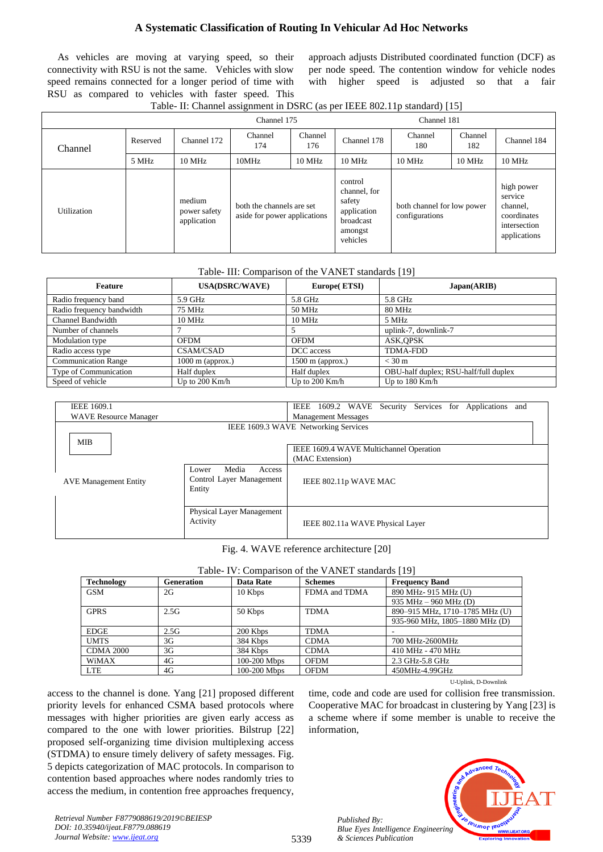As vehicles are moving at varying speed, so their connectivity with RSU is not the same. Vehicles with slow speed remains connected for a longer period of time with RSU as compared to vehicles with faster speed. This

approach adjusts Distributed coordinated function (DCF) as per node speed. The contention window for vehicle nodes with higher speed is adjusted so that a fair

| Table- II: Channel assignment in DSRC (as per IEEE 802.11p standard) [15] |  |  |
|---------------------------------------------------------------------------|--|--|
|---------------------------------------------------------------------------|--|--|

|             |          |                                       | Channel 175                                               | Channel 181 |                                                                                      |                                              |                |                                                                                  |
|-------------|----------|---------------------------------------|-----------------------------------------------------------|-------------|--------------------------------------------------------------------------------------|----------------------------------------------|----------------|----------------------------------------------------------------------------------|
| Channel     | Reserved | Channel 172                           | Channel<br>Channel<br>174<br>176                          |             | Channel 178                                                                          | Channel<br>180                               | Channel<br>182 | Channel 184                                                                      |
|             | 5 MHz    | $10 \mathrm{~MHz}$                    | 10MHz                                                     | 10 MHz      | 10 MHz                                                                               | $10$ MHz                                     | 10 MHz         | 10 MHz                                                                           |
| Utilization |          | medium<br>power safety<br>application | both the channels are set<br>aside for power applications |             | control<br>channel, for<br>safety<br>application<br>broadcast<br>amongst<br>vehicles | both channel for low power<br>configurations |                | high power<br>service<br>channel,<br>coordinates<br>intersection<br>applications |

#### Table- III: Comparison of the VANET standards [19]

| Feature                    | <b>USA(DSRC/WAVE)</b> | Europe(ETSI)       | Japan(ARIB)                           |
|----------------------------|-----------------------|--------------------|---------------------------------------|
| Radio frequency band       | 5.9 GHz               | 5.8 GHz            | 5.8 GHz                               |
| Radio frequency bandwidth  | 75 MHz                | 50 MHz             | 80 MHz                                |
| Channel Bandwidth          | <b>10 MHz</b>         | 10 MHz             | 5 MHz                                 |
| Number of channels         |                       |                    | uplink-7, downlink-7                  |
| Modulation type            | <b>OFDM</b>           | <b>OFDM</b>        | ASK, OPSK                             |
| Radio access type          | <b>CSAM/CSAD</b>      | DCC access         | <b>TDMA-FDD</b>                       |
| <b>Communication Range</b> | $1000$ m (approx.)    | $1500$ m (approx.) | $<$ 30 m                              |
| Type of Communication      | Half duplex           | Half duplex        | OBU-half duplex; RSU-half/full duplex |
| Speed of vehicle           | Up to $200$ Km/h      | Up to $200$ Km/h   | Up to $180$ Km/h                      |

| <b>IEEE 1609.1</b>           |                                                                | 1609.2 WAVE Security Services for Applications and<br>IEEE |
|------------------------------|----------------------------------------------------------------|------------------------------------------------------------|
| <b>WAVE Resource Manager</b> |                                                                | <b>Management Messages</b>                                 |
|                              |                                                                | IEEE 1609.3 WAVE Networking Services                       |
| <b>MIB</b>                   |                                                                |                                                            |
|                              |                                                                | IEEE 1609.4 WAVE Multichannel Operation                    |
|                              |                                                                | (MAC Extension)                                            |
| <b>AVE Management Entity</b> | Media<br>Access<br>Lower<br>Control Layer Management<br>Entity | IEEE 802.11p WAVE MAC                                      |
|                              | <b>Physical Layer Management</b><br>Activity                   | IEEE 802.11a WAVE Physical Layer                           |

Fig. 4. WAVE reference architecture [20]

| <b>Technology</b> | Generation | Data Rate      | <b>Schemes</b> | <b>Frequency Band</b>          |
|-------------------|------------|----------------|----------------|--------------------------------|
| <b>GSM</b>        | 2G         | 10 Kbps        | FDMA and TDMA  | 890 MHz-915 MHz (U)            |
|                   |            |                |                | 935 MHz $-$ 960 MHz (D)        |
| <b>GPRS</b>       | 2.5G       | 50 Kbps        | <b>TDMA</b>    | 890-915 MHz, 1710-1785 MHz (U) |
|                   |            |                |                | 935-960 MHz, 1805-1880 MHz (D) |
| <b>EDGE</b>       | 2.5G       | 200 Kbps       | <b>TDMA</b>    |                                |
| <b>UMTS</b>       | 3G         | 384 Kbps       | <b>CDMA</b>    | 700 MHz-2600MHz                |
| <b>CDMA 2000</b>  | 3G         | 384 Kbps       | <b>CDMA</b>    | 410 MHz - 470 MHz              |
| WiMAX             | 4G         | $100-200$ Mbps | <b>OFDM</b>    | 2.3 GHz-5.8 GHz                |
| <b>LTE</b>        | 4G         | 100-200 Mbps   | <b>OFDM</b>    | 450MHz-4.99GHz                 |

access to the channel is done. Yang [21] proposed different priority levels for enhanced CSMA based protocols where messages with higher priorities are given early access as compared to the one with lower priorities. Bilstrup [22] proposed self-organizing time division multiplexing access (STDMA) to ensure timely delivery of safety messages. Fig. 5 depicts categorization of MAC protocols. In comparison to contention based approaches where nodes randomly tries to access the medium, in contention free approaches frequency, U-Uplink, D-Downlink

time, code and code are used for collision free transmission. Cooperative MAC for broadcast in clustering by Yang [23] is a scheme where if some member is unable to receive the information,



*Retrieval Number F8779088619/2019©BEIESP DOI: 10.35940/ijeat.F8779.088619 Journal Website[: www.ijeat.org](http://www.ijeat.org/)*

5339

*Published By:*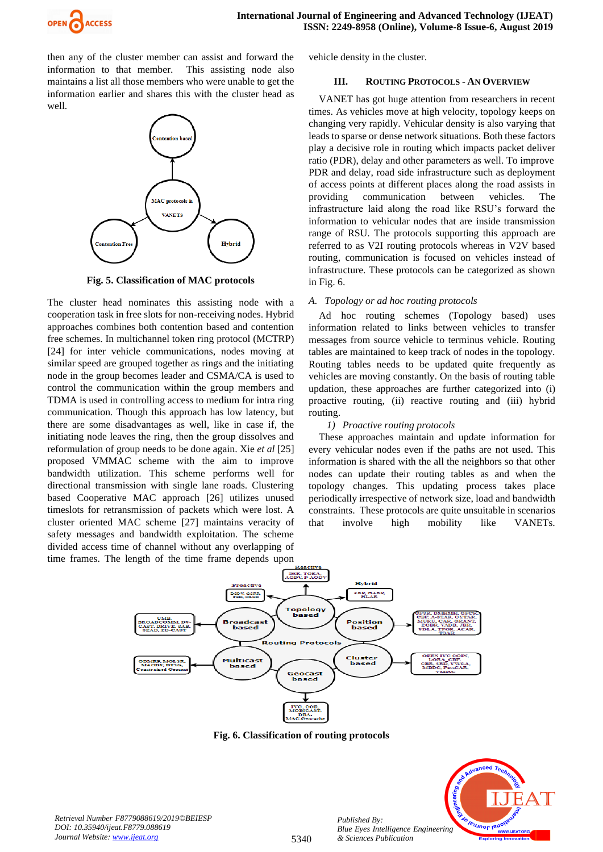

then any of the cluster member can assist and forward the information to that member. This assisting node also maintains a list all those members who were unable to get the information earlier and shares this with the cluster head as well.



**Fig. 5. Classification of MAC protocols**

The cluster head nominates this assisting node with a cooperation task in free slots for non-receiving nodes. Hybrid approaches combines both contention based and contention free schemes. In multichannel token ring protocol (MCTRP) [24] for inter vehicle communications, nodes moving at similar speed are grouped together as rings and the initiating node in the group becomes leader and CSMA/CA is used to control the communication within the group members and TDMA is used in controlling access to medium for intra ring communication. Though this approach has low latency, but there are some disadvantages as well, like in case if, the initiating node leaves the ring, then the group dissolves and reformulation of group needs to be done again. Xie *et al* [25] proposed VMMAC scheme with the aim to improve bandwidth utilization. This scheme performs well for directional transmission with single lane roads. Clustering based Cooperative MAC approach [26] utilizes unused timeslots for retransmission of packets which were lost. A cluster oriented MAC scheme [27] maintains veracity of safety messages and bandwidth exploitation. The scheme divided access time of channel without any overlapping of time frames. The length of the time frame depends upon vehicle density in the cluster.

#### **III. ROUTING PROTOCOLS - AN OVERVIEW**

VANET has got huge attention from researchers in recent times. As vehicles move at high velocity, topology keeps on changing very rapidly. Vehicular density is also varying that leads to sparse or dense network situations. Both these factors play a decisive role in routing which impacts packet deliver ratio (PDR), delay and other parameters as well. To improve PDR and delay, road side infrastructure such as deployment of access points at different places along the road assists in providing communication between vehicles. The infrastructure laid along the road like RSU's forward the information to vehicular nodes that are inside transmission range of RSU. The protocols supporting this approach are referred to as V2I routing protocols whereas in V2V based routing, communication is focused on vehicles instead of infrastructure. These protocols can be categorized as shown in Fig. 6.

#### *A. Topology or ad hoc routing protocols*

Ad hoc routing schemes (Topology based) uses information related to links between vehicles to transfer messages from source vehicle to terminus vehicle. Routing tables are maintained to keep track of nodes in the topology. Routing tables needs to be updated quite frequently as vehicles are moving constantly. On the basis of routing table updation, these approaches are further categorized into (i) proactive routing, (ii) reactive routing and (iii) hybrid routing.

#### *1) Proactive routing protocols*

These approaches maintain and update information for every vehicular nodes even if the paths are not used. This information is shared with the all the neighbors so that other nodes can update their routing tables as and when the topology changes. This updating process takes place periodically irrespective of network size, load and bandwidth constraints. These protocols are quite unsuitable in scenarios that involve high mobility like VANETs.



**Fig. 6. Classification of routing protocols**



*Retrieval Number F8779088619/2019©BEIESP DOI: 10.35940/ijeat.F8779.088619 Journal Website[: www.ijeat.org](http://www.ijeat.org/)*

*Published By:*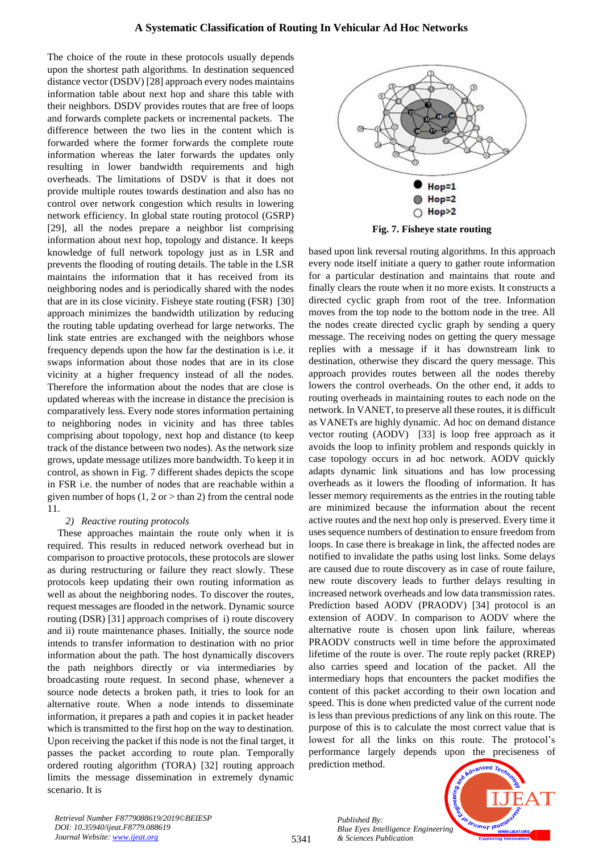The choice of the route in these protocols usually depends upon the shortest path algorithms. In destination sequenced distance vector (DSDV) [28] approach every nodes maintains information table about next hop and share this table with their neighbors. DSDV provides routes that are free of loops and forwards complete packets or incremental packets. The difference between the two lies in the content which is forwarded where the former forwards the complete route information whereas the later forwards the updates only resulting in lower bandwidth requirements and high overheads. The limitations of DSDV is that it does not provide multiple routes towards destination and also has no control over network congestion which results in lowering network efficiency. In global state routing protocol (GSRP) [29], all the nodes prepare a neighbor list comprising information about next hop, topology and distance. It keeps knowledge of full network topology just as in LSR and prevents the flooding of routing details. The table in the LSR maintains the information that it has received from its neighboring nodes and is periodically shared with the nodes that are in its close vicinity. Fisheye state routing (FSR) [30] approach minimizes the bandwidth utilization by reducing the routing table updating overhead for large networks. The link state entries are exchanged with the neighbors whose frequency depends upon the how far the destination is i.e. it swaps information about those nodes that are in its close vicinity at a higher frequency instead of all the nodes. Therefore the information about the nodes that are close is updated whereas with the increase in distance the precision is comparatively less. Every node stores information pertaining to neighboring nodes in vicinity and has three tables comprising about topology, next hop and distance (to keep track of the distance between two nodes). As the network size grows, update message utilizes more bandwidth. To keep it in control, as shown in Fig. 7 different shades depicts the scope in FSR i.e. the number of nodes that are reachable within a given number of hops  $(1, 2 \text{ or } > \text{than } 2)$  from the central node 11.

#### *2) Reactive routing protocols*

These approaches maintain the route only when it is required. This results in reduced network overhead but in comparison to proactive protocols, these protocols are slower as during restructuring or failure they react slowly. These protocols keep updating their own routing information as well as about the neighboring nodes. To discover the routes, request messages are flooded in the network. Dynamic source routing (DSR) [31] approach comprises of i) route discovery and ii) route maintenance phases. Initially, the source node intends to transfer information to destination with no prior information about the path. The host dynamically discovers the path neighbors directly or via intermediaries by broadcasting route request. In second phase, whenever a source node detects a broken path, it tries to look for an alternative route. When a node intends to disseminate information, it prepares a path and copies it in packet header which is transmitted to the first hop on the way to destination. Upon receiving the packet if this node is not the final target, it passes the packet according to route plan. Temporally ordered routing algorithm (TORA) [32] routing approach limits the message dissemination in extremely dynamic scenario. It is



**Fig. 7. Fisheye state routing**

based upon link reversal routing algorithms. In this approach every node itself initiate a query to gather route information for a particular destination and maintains that route and finally clears the route when it no more exists. It constructs a directed cyclic graph from root of the tree. Information moves from the top node to the bottom node in the tree. All the nodes create directed cyclic graph by sending a query message. The receiving nodes on getting the query message replies with a message if it has downstream link to destination, otherwise they discard the query message. This approach provides routes between all the nodes thereby lowers the control overheads. On the other end, it adds to routing overheads in maintaining routes to each node on the network. In VANET, to preserve all these routes, it is difficult as VANETs are highly dynamic. Ad hoc on demand distance vector routing (AODV) [33] is loop free approach as it avoids the loop to infinity problem and responds quickly in case topology occurs in ad hoc network. AODV quickly adapts dynamic link situations and has low processing overheads as it lowers the flooding of information. It has lesser memory requirements as the entries in the routing table are minimized because the information about the recent active routes and the next hop only is preserved. Every time it uses sequence numbers of destination to ensure freedom from loops. In case there is breakage in link, the affected nodes are notified to invalidate the paths using lost links. Some delays are caused due to route discovery as in case of route failure, new route discovery leads to further delays resulting in increased network overheads and low data transmission rates. Prediction based AODV (PRAODV) [34] protocol is an extension of AODV. In comparison to AODV where the alternative route is chosen upon link failure, whereas PRAODV constructs well in time before the approximated lifetime of the route is over. The route reply packet (RREP) also carries speed and location of the packet. All the intermediary hops that encounters the packet modifies the content of this packet according to their own location and speed. This is done when predicted value of the current node is less than previous predictions of any link on this route. The purpose of this is to calculate the most correct value that is lowest for all the links on this route. The protocol's performance largely depends upon the preciseness of prediction method.

> *Published By:* leusnor leu *Blue Eyes Intelligence Engineering & Sciences Publication*

*Retrieval Number F8779088619/2019©BEIESP DOI: 10.35940/ijeat.F8779.088619 Journal Website[: www.ijeat.org](http://www.ijeat.org/)*

5341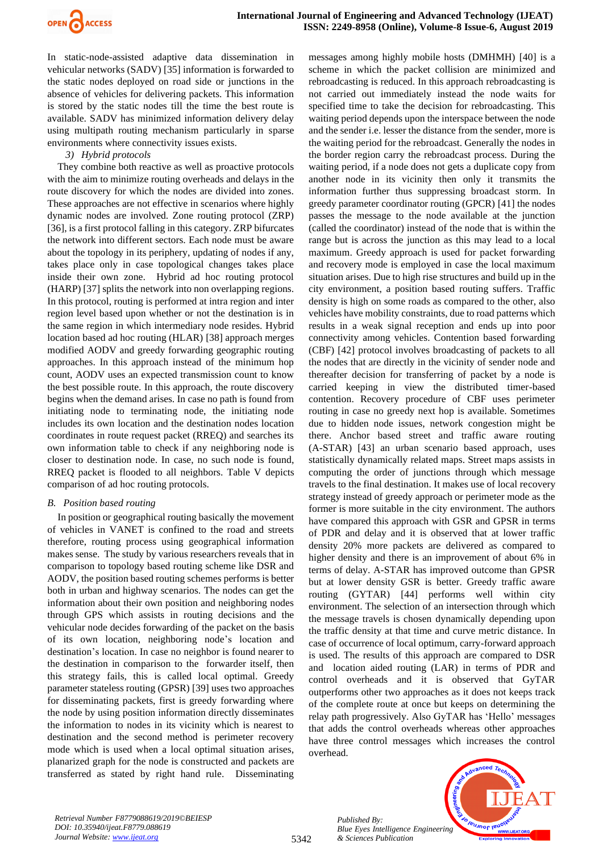

In static-node-assisted adaptive data dissemination in vehicular networks (SADV) [35] information is forwarded to the static nodes deployed on road side or junctions in the absence of vehicles for delivering packets. This information is stored by the static nodes till the time the best route is available. SADV has minimized information delivery delay using multipath routing mechanism particularly in sparse environments where connectivity issues exists.

*3) Hybrid protocols*

They combine both reactive as well as proactive protocols with the aim to minimize routing overheads and delays in the route discovery for which the nodes are divided into zones. These approaches are not effective in scenarios where highly dynamic nodes are involved. Zone routing protocol (ZRP) [36], is a first protocol falling in this category. ZRP bifurcates the network into different sectors. Each node must be aware about the topology in its periphery, updating of nodes if any, takes place only in case topological changes takes place inside their own zone. Hybrid ad hoc routing protocol (HARP) [37] splits the network into non overlapping regions. In this protocol, routing is performed at intra region and inter region level based upon whether or not the destination is in the same region in which intermediary node resides. Hybrid location based ad hoc routing (HLAR) [38] approach merges modified AODV and greedy forwarding geographic routing approaches. In this approach instead of the minimum hop count, AODV uses an expected transmission count to know the best possible route. In this approach, the route discovery begins when the demand arises. In case no path is found from initiating node to terminating node, the initiating node includes its own location and the destination nodes location coordinates in route request packet (RREQ) and searches its own information table to check if any neighboring node is closer to destination node. In case, no such node is found, RREQ packet is flooded to all neighbors. Table V depicts comparison of ad hoc routing protocols.

#### *B. Position based routing*

In position or geographical routing basically the movement of vehicles in VANET is confined to the road and streets therefore, routing process using geographical information makes sense. The study by various researchers reveals that in comparison to topology based routing scheme like DSR and AODV, the position based routing schemes performs is better both in urban and highway scenarios. The nodes can get the information about their own position and neighboring nodes through GPS which assists in routing decisions and the vehicular node decides forwarding of the packet on the basis of its own location, neighboring node's location and destination's location. In case no neighbor is found nearer to the destination in comparison to the forwarder itself, then this strategy fails, this is called local optimal. Greedy parameter stateless routing (GPSR) [39] uses two approaches for disseminating packets, first is greedy forwarding where the node by using position information directly disseminates the information to nodes in its vicinity which is nearest to destination and the second method is perimeter recovery mode which is used when a local optimal situation arises, planarized graph for the node is constructed and packets are transferred as stated by right hand rule. Disseminating messages among highly mobile hosts (DMHMH) [40] is a scheme in which the packet collision are minimized and rebroadcasting is reduced. In this approach rebroadcasting is not carried out immediately instead the node waits for specified time to take the decision for rebroadcasting. This waiting period depends upon the interspace between the node and the sender i.e. lesser the distance from the sender, more is the waiting period for the rebroadcast. Generally the nodes in the border region carry the rebroadcast process. During the waiting period, if a node does not gets a duplicate copy from another node in its vicinity then only it transmits the information further thus suppressing broadcast storm. In greedy parameter coordinator routing (GPCR) [41] the nodes passes the message to the node available at the junction (called the coordinator) instead of the node that is within the range but is across the junction as this may lead to a local maximum. Greedy approach is used for packet forwarding and recovery mode is employed in case the local maximum situation arises. Due to high rise structures and build up in the city environment, a position based routing suffers. Traffic density is high on some roads as compared to the other, also vehicles have mobility constraints, due to road patterns which results in a weak signal reception and ends up into poor connectivity among vehicles. Contention based forwarding (CBF) [42] protocol involves broadcasting of packets to all the nodes that are directly in the vicinity of sender node and thereafter decision for transferring of packet by a node is carried keeping in view the distributed timer-based contention. Recovery procedure of CBF uses perimeter routing in case no greedy next hop is available. Sometimes due to hidden node issues, network congestion might be there. Anchor based street and traffic aware routing (A-STAR) [43] an urban scenario based approach, uses statistically dynamically related maps. Street maps assists in computing the order of junctions through which message travels to the final destination. It makes use of local recovery strategy instead of greedy approach or perimeter mode as the former is more suitable in the city environment. The authors have compared this approach with GSR and GPSR in terms of PDR and delay and it is observed that at lower traffic density 20% more packets are delivered as compared to higher density and there is an improvement of about 6% in terms of delay. A-STAR has improved outcome than GPSR but at lower density GSR is better. Greedy traffic aware routing (GYTAR) [44] performs well within city environment. The selection of an intersection through which the message travels is chosen dynamically depending upon the traffic density at that time and curve metric distance. In case of occurrence of local optimum, carry-forward approach is used. The results of this approach are compared to DSR and location aided routing (LAR) in terms of PDR and control overheads and it is observed that GyTAR outperforms other two approaches as it does not keeps track of the complete route at once but keeps on determining the relay path progressively. Also GyTAR has 'Hello' messages that adds the control overheads whereas other approaches have three control messages which increases the control overhead.



*Retrieval Number F8779088619/2019©BEIESP DOI: 10.35940/ijeat.F8779.088619 Journal Website[: www.ijeat.org](http://www.ijeat.org/)*

5342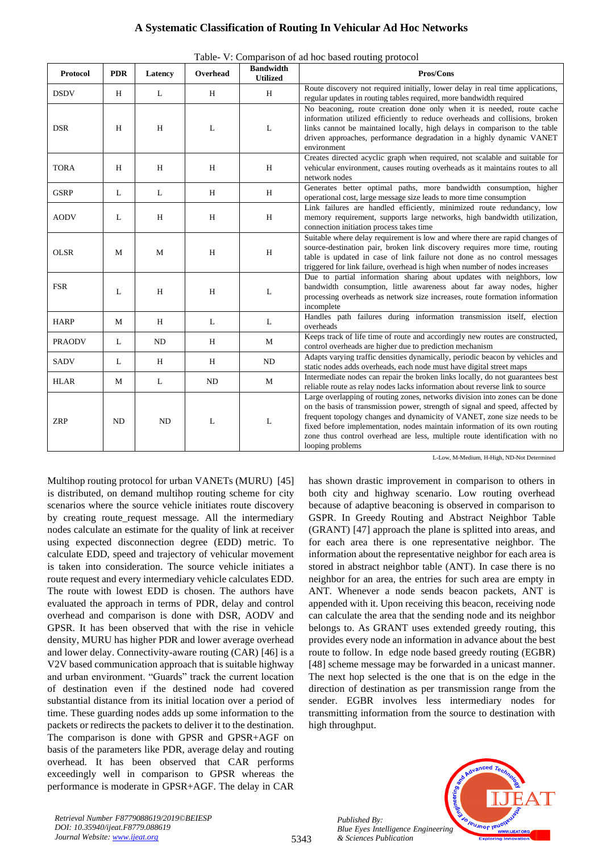| <b>Protocol</b> | <b>PDR</b> | Latency | Overhead | <b>Bandwidth</b><br><b>Utilized</b> | Pros/Cons                                                                                                                                                                                                                                                                                                                                                                                                                 |
|-----------------|------------|---------|----------|-------------------------------------|---------------------------------------------------------------------------------------------------------------------------------------------------------------------------------------------------------------------------------------------------------------------------------------------------------------------------------------------------------------------------------------------------------------------------|
| <b>DSDV</b>     | H          | L       | H        | H                                   | Route discovery not required initially, lower delay in real time applications,<br>regular updates in routing tables required, more bandwidth required                                                                                                                                                                                                                                                                     |
| <b>DSR</b>      | H          | H       | L        | L                                   | No beaconing, route creation done only when it is needed, route cache<br>information utilized efficiently to reduce overheads and collisions, broken<br>links cannot be maintained locally, high delays in comparison to the table<br>driven approaches, performance degradation in a highly dynamic VANET<br>environment                                                                                                 |
| <b>TORA</b>     | H          | H       | H        | H                                   | Creates directed acyclic graph when required, not scalable and suitable for<br>vehicular environment, causes routing overheads as it maintains routes to all<br>network nodes                                                                                                                                                                                                                                             |
| <b>GSRP</b>     | L          | L       | H        | H                                   | Generates better optimal paths, more bandwidth consumption, higher<br>operational cost, large message size leads to more time consumption                                                                                                                                                                                                                                                                                 |
| <b>AODV</b>     | L          | H       | H        | H                                   | Link failures are handled efficiently, minimized route redundancy, low<br>memory requirement, supports large networks, high bandwidth utilization,<br>connection initiation process takes time                                                                                                                                                                                                                            |
| <b>OLSR</b>     | M          | M       | H        | H                                   | Suitable where delay requirement is low and where there are rapid changes of<br>source-destination pair, broken link discovery requires more time, routing<br>table is updated in case of link failure not done as no control messages<br>triggered for link failure, overhead is high when number of nodes increases                                                                                                     |
| <b>FSR</b>      | L          | H       | H        | L                                   | Due to partial information sharing about updates with neighbors, low<br>bandwidth consumption, little awareness about far away nodes, higher<br>processing overheads as network size increases, route formation information<br>incomplete                                                                                                                                                                                 |
| <b>HARP</b>     | M          | H       | L        | L                                   | Handles path failures during information transmission itself, election<br>overheads                                                                                                                                                                                                                                                                                                                                       |
| <b>PRAODV</b>   | L          | ND      | H        | M                                   | Keeps track of life time of route and accordingly new routes are constructed,<br>control overheads are higher due to prediction mechanism                                                                                                                                                                                                                                                                                 |
| <b>SADV</b>     | L          | H       | H        | ND                                  | Adapts varying traffic densities dynamically, periodic beacon by vehicles and<br>static nodes adds overheads, each node must have digital street maps                                                                                                                                                                                                                                                                     |
| <b>HLAR</b>     | M          | L       | ND       | M                                   | Intermediate nodes can repair the broken links locally, do not guarantees best<br>reliable route as relay nodes lacks information about reverse link to source                                                                                                                                                                                                                                                            |
| <b>ZRP</b>      | ND         | ND      | L        | L                                   | Large overlapping of routing zones, networks division into zones can be done<br>on the basis of transmission power, strength of signal and speed, affected by<br>frequent topology changes and dynamicity of VANET, zone size needs to be<br>fixed before implementation, nodes maintain information of its own routing<br>zone thus control overhead are less, multiple route identification with no<br>looping problems |

Table- V: Comparison of ad hoc based routing protocol

L-Low, M-Medium, H-High, ND-Not Determined

Multihop routing protocol for urban VANETs (MURU) [45] is distributed, on demand multihop routing scheme for city scenarios where the source vehicle initiates route discovery by creating route\_request message. All the intermediary nodes calculate an estimate for the quality of link at receiver using expected disconnection degree (EDD) metric. To calculate EDD, speed and trajectory of vehicular movement is taken into consideration. The source vehicle initiates a route request and every intermediary vehicle calculates EDD. The route with lowest EDD is chosen. The authors have evaluated the approach in terms of PDR, delay and control overhead and comparison is done with DSR, AODV and GPSR. It has been observed that with the rise in vehicle density, MURU has higher PDR and lower average overhead and lower delay. Connectivity-aware routing (CAR) [46] is a V2V based communication approach that is suitable highway and urban environment. "Guards" track the current location of destination even if the destined node had covered substantial distance from its initial location over a period of time. These guarding nodes adds up some information to the packets or redirects the packets to deliver it to the destination. The comparison is done with GPSR and GPSR+AGF on basis of the parameters like PDR, average delay and routing overhead. It has been observed that CAR performs exceedingly well in comparison to GPSR whereas the performance is moderate in GPSR+AGF. The delay in CAR has shown drastic improvement in comparison to others in both city and highway scenario. Low routing overhead because of adaptive beaconing is observed in comparison to GSPR. In Greedy Routing and Abstract Neighbor Table (GRANT) [47] approach the plane is splitted into areas, and for each area there is one representative neighbor. The information about the representative neighbor for each area is stored in abstract neighbor table (ANT). In case there is no neighbor for an area, the entries for such area are empty in ANT. Whenever a node sends beacon packets, ANT is appended with it. Upon receiving this beacon, receiving node can calculate the area that the sending node and its neighbor belongs to. As GRANT uses extended greedy routing, this provides every node an information in advance about the best route to follow. In edge node based greedy routing (EGBR) [48] scheme message may be forwarded in a unicast manner. The next hop selected is the one that is on the edge in the direction of destination as per transmission range from the sender. EGBR involves less intermediary nodes for transmitting information from the source to destination with high throughput.

> *Published By: Blue Eyes Intelligence Engineering & Sciences Publication*



*Retrieval Number F8779088619/2019©BEIESP DOI: 10.35940/ijeat.F8779.088619 Journal Website[: www.ijeat.org](http://www.ijeat.org/)*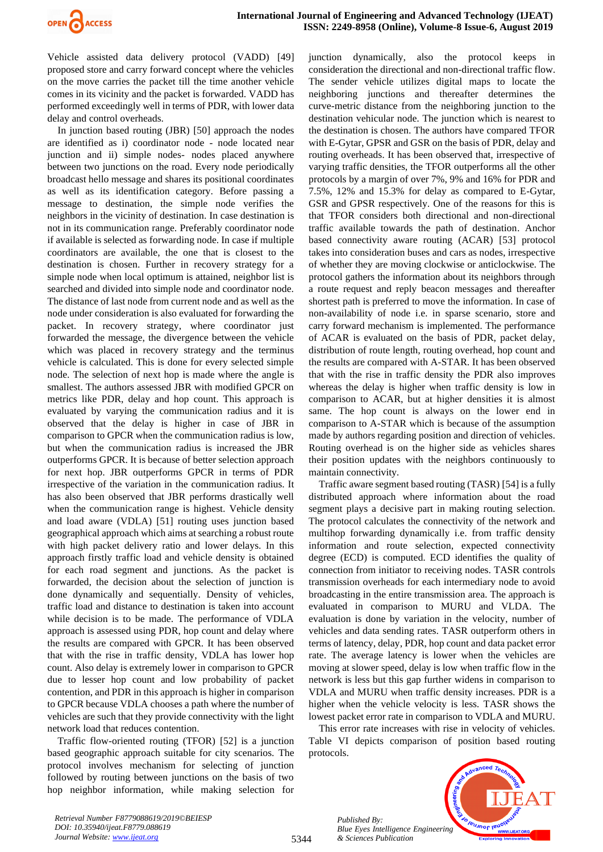

Vehicle assisted data delivery protocol (VADD) [49] proposed store and carry forward concept where the vehicles on the move carries the packet till the time another vehicle comes in its vicinity and the packet is forwarded. VADD has performed exceedingly well in terms of PDR, with lower data delay and control overheads.

In junction based routing (JBR) [50] approach the nodes are identified as i) coordinator node - node located near junction and ii) simple nodes- nodes placed anywhere between two junctions on the road. Every node periodically broadcast hello message and shares its positional coordinates as well as its identification category. Before passing a message to destination, the simple node verifies the neighbors in the vicinity of destination. In case destination is not in its communication range. Preferably coordinator node if available is selected as forwarding node. In case if multiple coordinators are available, the one that is closest to the destination is chosen. Further in recovery strategy for a simple node when local optimum is attained, neighbor list is searched and divided into simple node and coordinator node. The distance of last node from current node and as well as the node under consideration is also evaluated for forwarding the packet. In recovery strategy, where coordinator just forwarded the message, the divergence between the vehicle which was placed in recovery strategy and the terminus vehicle is calculated. This is done for every selected simple node. The selection of next hop is made where the angle is smallest. The authors assessed JBR with modified GPCR on metrics like PDR, delay and hop count. This approach is evaluated by varying the communication radius and it is observed that the delay is higher in case of JBR in comparison to GPCR when the communication radius is low, but when the communication radius is increased the JBR outperforms GPCR. It is because of better selection approach for next hop. JBR outperforms GPCR in terms of PDR irrespective of the variation in the communication radius. It has also been observed that JBR performs drastically well when the communication range is highest. Vehicle density and load aware (VDLA) [51] routing uses junction based geographical approach which aims at searching a robust route with high packet delivery ratio and lower delays. In this approach firstly traffic load and vehicle density is obtained for each road segment and junctions. As the packet is forwarded, the decision about the selection of junction is done dynamically and sequentially. Density of vehicles, traffic load and distance to destination is taken into account while decision is to be made. The performance of VDLA approach is assessed using PDR, hop count and delay where the results are compared with GPCR. It has been observed that with the rise in traffic density, VDLA has lower hop count. Also delay is extremely lower in comparison to GPCR due to lesser hop count and low probability of packet contention, and PDR in this approach is higher in comparison to GPCR because VDLA chooses a path where the number of vehicles are such that they provide connectivity with the light network load that reduces contention.

Traffic flow-oriented routing (TFOR) [52] is a junction based geographic approach suitable for city scenarios. The protocol involves mechanism for selecting of junction followed by routing between junctions on the basis of two hop neighbor information, while making selection for junction dynamically, also the protocol keeps in consideration the directional and non-directional traffic flow. The sender vehicle utilizes digital maps to locate the neighboring junctions and thereafter determines the curve-metric distance from the neighboring junction to the destination vehicular node. The junction which is nearest to the destination is chosen. The authors have compared TFOR with E-Gytar, GPSR and GSR on the basis of PDR, delay and routing overheads. It has been observed that, irrespective of varying traffic densities, the TFOR outperforms all the other protocols by a margin of over 7%, 9% and 16% for PDR and 7.5%, 12% and 15.3% for delay as compared to E-Gytar, GSR and GPSR respectively. One of the reasons for this is that TFOR considers both directional and non-directional traffic available towards the path of destination. Anchor based connectivity aware routing (ACAR) [53] protocol takes into consideration buses and cars as nodes, irrespective of whether they are moving clockwise or anticlockwise. The protocol gathers the information about its neighbors through a route request and reply beacon messages and thereafter shortest path is preferred to move the information. In case of non-availability of node i.e. in sparse scenario, store and carry forward mechanism is implemented. The performance of ACAR is evaluated on the basis of PDR, packet delay, distribution of route length, routing overhead, hop count and the results are compared with A-STAR. It has been observed that with the rise in traffic density the PDR also improves whereas the delay is higher when traffic density is low in comparison to ACAR, but at higher densities it is almost same. The hop count is always on the lower end in comparison to A-STAR which is because of the assumption made by authors regarding position and direction of vehicles. Routing overhead is on the higher side as vehicles shares their position updates with the neighbors continuously to maintain connectivity.

Traffic aware segment based routing (TASR) [54] is a fully distributed approach where information about the road segment plays a decisive part in making routing selection. The protocol calculates the connectivity of the network and multihop forwarding dynamically i.e. from traffic density information and route selection, expected connectivity degree (ECD) is computed. ECD identifies the quality of connection from initiator to receiving nodes. TASR controls transmission overheads for each intermediary node to avoid broadcasting in the entire transmission area. The approach is evaluated in comparison to MURU and VLDA. The evaluation is done by variation in the velocity, number of vehicles and data sending rates. TASR outperform others in terms of latency, delay, PDR, hop count and data packet error rate. The average latency is lower when the vehicles are moving at slower speed, delay is low when traffic flow in the network is less but this gap further widens in comparison to VDLA and MURU when traffic density increases. PDR is a higher when the vehicle velocity is less. TASR shows the lowest packet error rate in comparison to VDLA and MURU.

This error rate increases with rise in velocity of vehicles. Table VI depicts comparison of position based routing protocols.



*Retrieval Number F8779088619/2019©BEIESP DOI: 10.35940/ijeat.F8779.088619 Journal Website[: www.ijeat.org](http://www.ijeat.org/)*

5344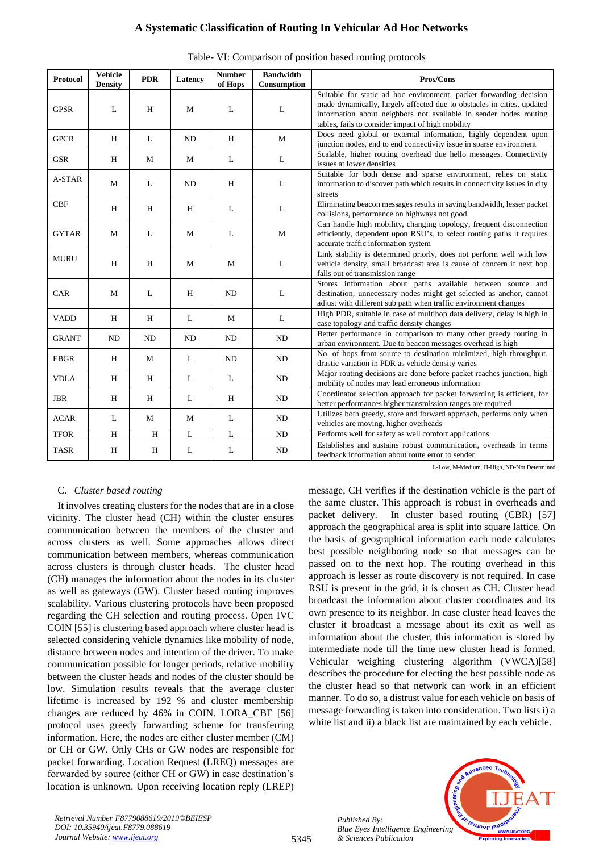| Protocol     | <b>Vehicle</b><br><b>Density</b> | <b>PDR</b> | Latency      | <b>Number</b><br>of Hops | <b>Bandwidth</b><br>Consumption | Pros/Cons                                                                                                                                                                                                                                                              |
|--------------|----------------------------------|------------|--------------|--------------------------|---------------------------------|------------------------------------------------------------------------------------------------------------------------------------------------------------------------------------------------------------------------------------------------------------------------|
| <b>GPSR</b>  | L                                | H          | M            | L                        | L                               | Suitable for static ad hoc environment, packet forwarding decision<br>made dynamically, largely affected due to obstacles in cities, updated<br>information about neighbors not available in sender nodes routing<br>tables, fails to consider impact of high mobility |
| <b>GPCR</b>  | H                                | L          | ND           | H                        | M                               | Does need global or external information, highly dependent upon<br>junction nodes, end to end connectivity issue in sparse environment                                                                                                                                 |
| <b>GSR</b>   | H                                | M          | M            | L                        | L                               | Scalable, higher routing overhead due hello messages. Connectivity<br>issues at lower densities                                                                                                                                                                        |
| A-STAR       | М                                | L          | <b>ND</b>    | H                        | L                               | Suitable for both dense and sparse environment, relies on static<br>information to discover path which results in connectivity issues in city<br>streets                                                                                                               |
| CBF          | H                                | H          | H            | L                        | L                               | Eliminating beacon messages results in saving bandwidth, lesser packet<br>collisions, performance on highways not good                                                                                                                                                 |
| <b>GYTAR</b> | M                                | L          | $\mathbf M$  | L                        | $\mathbf{M}$                    | Can handle high mobility, changing topology, frequent disconnection<br>efficiently, dependent upon RSU's, to select routing paths it requires<br>accurate traffic information system                                                                                   |
| <b>MURU</b>  | H                                | H          | $\mathbf M$  | M                        | L                               | Link stability is determined priorly, does not perform well with low<br>vehicle density, small broadcast area is cause of concern if next hop<br>falls out of transmission range                                                                                       |
| CAR          | M                                | L          | H            | ND                       | L                               | Stores information about paths available between source and<br>destination, unnecessary nodes might get selected as anchor, cannot<br>adjust with different sub path when traffic environment changes                                                                  |
| <b>VADD</b>  | H                                | H          | L            | M                        | L                               | High PDR, suitable in case of multihop data delivery, delay is high in<br>case topology and traffic density changes                                                                                                                                                    |
| <b>GRANT</b> | $\rm ND$                         | ND         | ND           | ND                       | ND                              | Better performance in comparison to many other greedy routing in<br>urban environment. Due to beacon messages overhead is high                                                                                                                                         |
| <b>EBGR</b>  | H                                | М          | L            | ND                       | ND                              | No. of hops from source to destination minimized, high throughput,<br>drastic variation in PDR as vehicle density varies                                                                                                                                               |
| <b>VDLA</b>  | Н                                | H          | L            | L                        | ND                              | Major routing decisions are done before packet reaches junction, high<br>mobility of nodes may lead erroneous information                                                                                                                                              |
| <b>JBR</b>   | H                                | H          | L            | H                        | ND                              | Coordinator selection approach for packet forwarding is efficient, for<br>better performances higher transmission ranges are required                                                                                                                                  |
| <b>ACAR</b>  | L                                | M          | $\mathbf{M}$ | L                        | ND                              | Utilizes both greedy, store and forward approach, performs only when<br>vehicles are moving, higher overheads                                                                                                                                                          |
| <b>TFOR</b>  | H                                | H          | $\mathbf{L}$ | L                        | ND                              | Performs well for safety as well comfort applications                                                                                                                                                                                                                  |
| <b>TASR</b>  | H                                | Η          | L            | L                        | ND                              | Establishes and sustains robust communication, overheads in terms<br>feedback information about route error to sender                                                                                                                                                  |

L-Low, M-Medium, H-High, ND-Not Determined

# C. *Cluster based routing*

It involves creating clusters for the nodes that are in a close vicinity. The cluster head (CH) within the cluster ensures communication between the members of the cluster and across clusters as well. Some approaches allows direct communication between members, whereas communication across clusters is through cluster heads. The cluster head (CH) manages the information about the nodes in its cluster as well as gateways (GW). Cluster based routing improves scalability. Various clustering protocols have been proposed regarding the CH selection and routing process. Open IVC COIN [55] is clustering based approach where cluster head is selected considering vehicle dynamics like mobility of node, distance between nodes and intention of the driver. To make communication possible for longer periods, relative mobility between the cluster heads and nodes of the cluster should be low. Simulation results reveals that the average cluster lifetime is increased by 192 % and cluster membership changes are reduced by 46% in COIN. LORA\_CBF [56] protocol uses greedy forwarding scheme for transferring information. Here, the nodes are either cluster member (CM) or CH or GW. Only CHs or GW nodes are responsible for packet forwarding. Location Request (LREQ) messages are forwarded by source (either CH or GW) in case destination's location is unknown. Upon receiving location reply (LREP) message, CH verifies if the destination vehicle is the part of the same cluster. This approach is robust in overheads and packet delivery. In cluster based routing (CBR) [57] approach the geographical area is split into square lattice. On the basis of geographical information each node calculates best possible neighboring node so that messages can be passed on to the next hop. The routing overhead in this approach is lesser as route discovery is not required. In case RSU is present in the grid, it is chosen as CH. Cluster head broadcast the information about cluster coordinates and its own presence to its neighbor. In case cluster head leaves the cluster it broadcast a message about its exit as well as information about the cluster, this information is stored by intermediate node till the time new cluster head is formed. Vehicular weighing clustering algorithm (VWCA)[58] describes the procedure for electing the best possible node as the cluster head so that network can work in an efficient manner. To do so, a distrust value for each vehicle on basis of message forwarding is taken into consideration. Two lists i) a white list and ii) a black list are maintained by each vehicle.



*Published By:*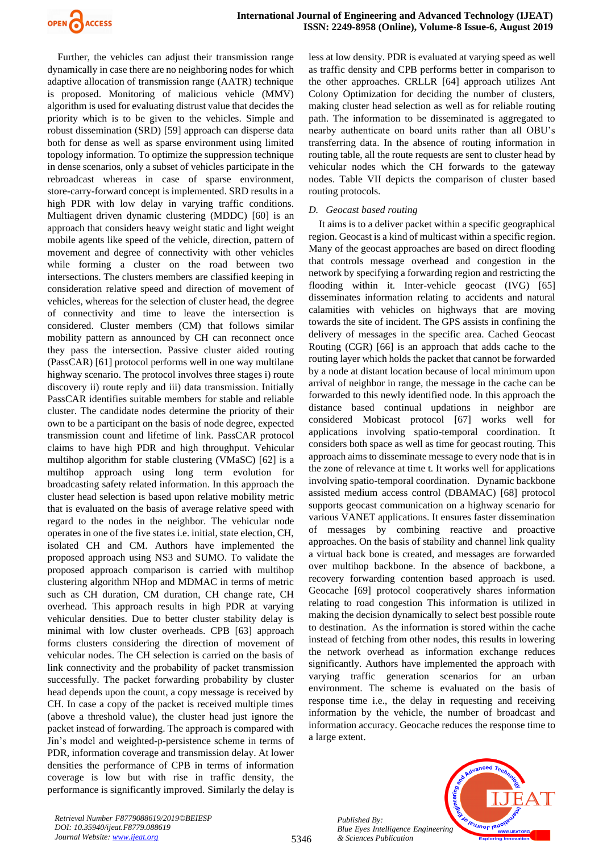

Further, the vehicles can adjust their transmission range dynamically in case there are no neighboring nodes for which adaptive allocation of transmission range (AATR) technique is proposed. Monitoring of malicious vehicle (MMV) algorithm is used for evaluating distrust value that decides the priority which is to be given to the vehicles. Simple and robust dissemination (SRD) [59] approach can disperse data both for dense as well as sparse environment using limited topology information. To optimize the suppression technique in dense scenarios, only a subset of vehicles participate in the rebroadcast whereas in case of sparse environment, store-carry-forward concept is implemented. SRD results in a high PDR with low delay in varying traffic conditions. Multiagent driven dynamic clustering (MDDC) [60] is an approach that considers heavy weight static and light weight mobile agents like speed of the vehicle, direction, pattern of movement and degree of connectivity with other vehicles while forming a cluster on the road between two intersections. The clusters members are classified keeping in consideration relative speed and direction of movement of vehicles, whereas for the selection of cluster head, the degree of connectivity and time to leave the intersection is considered. Cluster members (CM) that follows similar mobility pattern as announced by CH can reconnect once they pass the intersection. Passive cluster aided routing (PassCAR) [61] protocol performs well in one way multilane highway scenario. The protocol involves three stages i) route discovery ii) route reply and iii) data transmission. Initially PassCAR identifies suitable members for stable and reliable cluster. The candidate nodes determine the priority of their own to be a participant on the basis of node degree, expected transmission count and lifetime of link. PassCAR protocol claims to have high PDR and high throughput. Vehicular multihop algorithm for stable clustering (VMaSC) [62] is a multihop approach using long term evolution for broadcasting safety related information. In this approach the cluster head selection is based upon relative mobility metric that is evaluated on the basis of average relative speed with regard to the nodes in the neighbor. The vehicular node operates in one of the five states i.e. initial, state election, CH, isolated CH and CM. Authors have implemented the proposed approach using NS3 and SUMO. To validate the proposed approach comparison is carried with multihop clustering algorithm NHop and MDMAC in terms of metric such as CH duration, CM duration, CH change rate, CH overhead. This approach results in high PDR at varying vehicular densities. Due to better cluster stability delay is minimal with low cluster overheads. CPB [63] approach forms clusters considering the direction of movement of vehicular nodes. The CH selection is carried on the basis of link connectivity and the probability of packet transmission successfully. The packet forwarding probability by cluster head depends upon the count, a copy message is received by CH. In case a copy of the packet is received multiple times (above a threshold value), the cluster head just ignore the packet instead of forwarding. The approach is compared with Jin's model and weighted-p-persistence scheme in terms of PDR, information coverage and transmission delay. At lower densities the performance of CPB in terms of information coverage is low but with rise in traffic density, the performance is significantly improved. Similarly the delay is less at low density. PDR is evaluated at varying speed as well as traffic density and CPB performs better in comparison to the other approaches. CRLLR [64] approach utilizes Ant Colony Optimization for deciding the number of clusters, making cluster head selection as well as for reliable routing path. The information to be disseminated is aggregated to nearby authenticate on board units rather than all OBU's transferring data. In the absence of routing information in routing table, all the route requests are sent to cluster head by vehicular nodes which the CH forwards to the gateway nodes. Table VII depicts the comparison of cluster based routing protocols.

#### *D. Geocast based routing*

It aims is to a deliver packet within a specific geographical region. Geocast is a kind of multicast within a specific region. Many of the geocast approaches are based on direct flooding that controls message overhead and congestion in the network by specifying a forwarding region and restricting the flooding within it. Inter-vehicle geocast (IVG) [65] disseminates information relating to accidents and natural calamities with vehicles on highways that are moving towards the site of incident. The GPS assists in confining the delivery of messages in the specific area. Cached Geocast Routing (CGR) [66] is an approach that adds cache to the routing layer which holds the packet that cannot be forwarded by a node at distant location because of local minimum upon arrival of neighbor in range, the message in the cache can be forwarded to this newly identified node. In this approach the distance based continual updations in neighbor are considered Mobicast protocol [67] works well for applications involving spatio-temporal coordination. It considers both space as well as time for geocast routing. This approach aims to disseminate message to every node that is in the zone of relevance at time t. It works well for applications involving spatio-temporal coordination. Dynamic backbone assisted medium access control (DBAMAC) [68] protocol supports geocast communication on a highway scenario for various VANET applications. It ensures faster dissemination of messages by combining reactive and proactive approaches. On the basis of stability and channel link quality a virtual back bone is created, and messages are forwarded over multihop backbone. In the absence of backbone, a recovery forwarding contention based approach is used. Geocache [69] protocol cooperatively shares information relating to road congestion This information is utilized in making the decision dynamically to select best possible route to destination. As the information is stored within the cache instead of fetching from other nodes, this results in lowering the network overhead as information exchange reduces significantly. Authors have implemented the approach with varying traffic generation scenarios for an urban environment. The scheme is evaluated on the basis of response time i.e., the delay in requesting and receiving information by the vehicle, the number of broadcast and information accuracy. Geocache reduces the response time to a large extent.



*Retrieval Number F8779088619/2019©BEIESP DOI: 10.35940/ijeat.F8779.088619 Journal Website[: www.ijeat.org](http://www.ijeat.org/)*

*Published By:*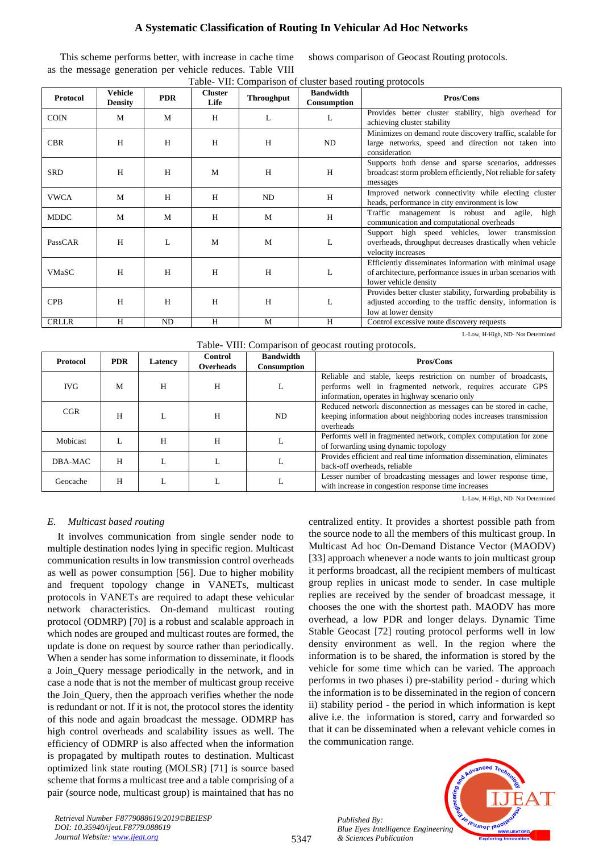This scheme performs better, with increase in cache time as the message generation per vehicle reduces. Table VIII shows comparison of Geocast Routing protocols.

| Protocol     | Vehicle<br><b>Density</b> | <b>PDR</b> | <b>Cluster</b><br>Life | <b>Throughput</b> | <b>Bandwidth</b><br>Consumption | <b>Pros/Cons</b>                                                                                                                                  |
|--------------|---------------------------|------------|------------------------|-------------------|---------------------------------|---------------------------------------------------------------------------------------------------------------------------------------------------|
| <b>COIN</b>  | M                         | M          | H                      | L                 | L                               | Provides better cluster stability, high overhead for<br>achieving cluster stability                                                               |
| <b>CBR</b>   | H                         | H          | H                      | H                 | ND                              | Minimizes on demand route discovery traffic, scalable for<br>large networks, speed and direction not taken into<br>consideration                  |
| <b>SRD</b>   | H                         | H          | M                      | H                 | H                               | Supports both dense and sparse scenarios, addresses<br>broadcast storm problem efficiently, Not reliable for safety<br>messages                   |
| <b>VWCA</b>  | M                         | H          | H                      | ND                | H                               | Improved network connectivity while electing cluster<br>heads, performance in city environment is low                                             |
| <b>MDDC</b>  | M                         | M          | H                      | M                 | H                               | high<br>Traffic management is robust and agile,<br>communication and computational overheads                                                      |
| PassCAR      | H                         | L          | M                      | M                 | L                               | Support high speed vehicles, lower transmission<br>overheads, throughput decreases drastically when vehicle<br>velocity increases                 |
| <b>VMaSC</b> | H                         | H          | H                      | H                 | L                               | Efficiently disseminates information with minimal usage<br>of architecture, performance issues in urban scenarios with<br>lower vehicle density   |
| <b>CPB</b>   | H                         | H          | H                      | H                 | L                               | Provides better cluster stability, forwarding probability is<br>adjusted according to the traffic density, information is<br>low at lower density |
| <b>CRLLR</b> | H                         | ND         | H                      | M                 | H                               | Control excessive route discovery requests                                                                                                        |

|  |  | Table- VII: Comparison of cluster based routing protocols |  |  |  |
|--|--|-----------------------------------------------------------|--|--|--|
|  |  |                                                           |  |  |  |
|  |  |                                                           |  |  |  |
|  |  |                                                           |  |  |  |

Table- VIII: Comparison of geocast routing protocols.

| Protocol   | <b>PDR</b> | Latency | Control<br><b>Overheads</b> | <b>Bandwidth</b><br>Consumption | Pros/Cons                                                                                                                                                                       |
|------------|------------|---------|-----------------------------|---------------------------------|---------------------------------------------------------------------------------------------------------------------------------------------------------------------------------|
| <b>IVG</b> | M          | Н       | Н                           |                                 | Reliable and stable, keeps restriction on number of broadcasts,<br>performs well in fragmented network, requires accurate GPS<br>information, operates in highway scenario only |
| CGR        | H          |         | H                           | ND                              | Reduced network disconnection as messages can be stored in cache,<br>keeping information about neighboring nodes increases transmission<br>overheads                            |
| Mobicast   |            | H       | н                           |                                 | Performs well in fragmented network, complex computation for zone<br>of forwarding using dynamic topology                                                                       |
| DBA-MAC    | H          |         |                             |                                 | Provides efficient and real time information dissemination, eliminates<br>back-off overheads, reliable                                                                          |
| Geocache   | H          |         |                             |                                 | Lesser number of broadcasting messages and lower response time,<br>with increase in congestion response time increases                                                          |

L-Low, H-High, ND- Not Determined

L-Low, H-High, ND- Not Determined

# *E. Multicast based routing*

It involves communication from single sender node to multiple destination nodes lying in specific region. Multicast communication results in low transmission control overheads as well as power consumption [56]. Due to higher mobility and frequent topology change in VANETs, multicast protocols in VANETs are required to adapt these vehicular network characteristics. On-demand multicast routing protocol (ODMRP) [70] is a robust and scalable approach in which nodes are grouped and multicast routes are formed, the update is done on request by source rather than periodically. When a sender has some information to disseminate, it floods a Join\_Query message periodically in the network, and in case a node that is not the member of multicast group receive the Join\_Query, then the approach verifies whether the node is redundant or not. If it is not, the protocol stores the identity of this node and again broadcast the message. ODMRP has high control overheads and scalability issues as well. The efficiency of ODMRP is also affected when the information is propagated by multipath routes to destination. Multicast optimized link state routing (MOLSR) [71] is source based scheme that forms a multicast tree and a table comprising of a pair (source node, multicast group) is maintained that has no centralized entity. It provides a shortest possible path from the source node to all the members of this multicast group. In Multicast Ad hoc On-Demand Distance Vector (MAODV) [33] approach whenever a node wants to join multicast group it performs broadcast, all the recipient members of multicast group replies in unicast mode to sender. In case multiple replies are received by the sender of broadcast message, it chooses the one with the shortest path. MAODV has more overhead, a low PDR and longer delays. Dynamic Time Stable Geocast [72] routing protocol performs well in low density environment as well. In the region where the information is to be shared, the information is stored by the vehicle for some time which can be varied. The approach performs in two phases i) pre-stability period - during which the information is to be disseminated in the region of concern ii) stability period - the period in which information is kept alive i.e. the information is stored, carry and forwarded so that it can be disseminated when a relevant vehicle comes in the communication range.

> *Published By: Blue Eyes Intelligence Engineering & Sciences Publication*



*Retrieval Number F8779088619/2019©BEIESP DOI: 10.35940/ijeat.F8779.088619 Journal Website[: www.ijeat.org](http://www.ijeat.org/)*

5347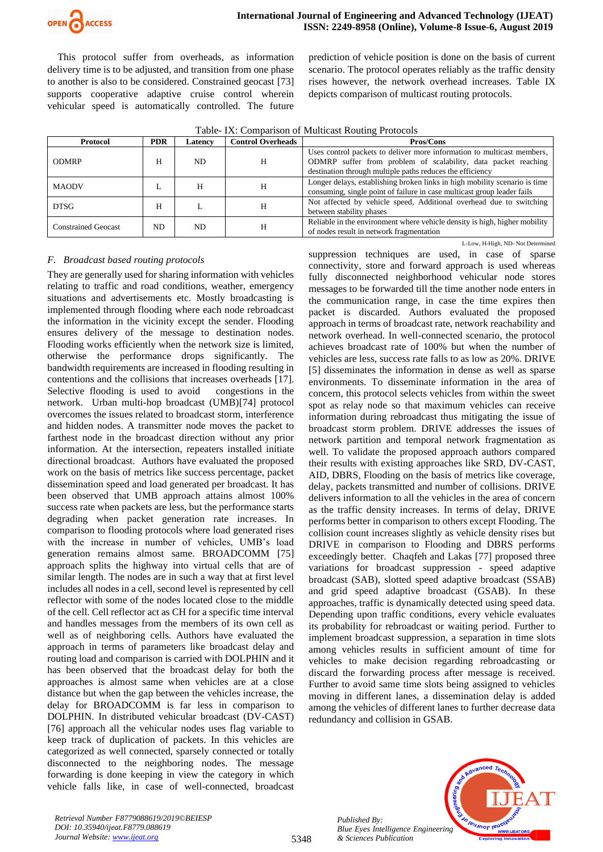

This protocol suffer from overheads, as information delivery time is to be adjusted, and transition from one phase to another is also to be considered. Constrained geocast [73] supports cooperative adaptive cruise control wherein vehicular speed is automatically controlled. The future prediction of vehicle position is done on the basis of current scenario. The protocol operates reliably as the traffic density rises however, the network overhead increases. Table IX depicts comparison of multicast routing protocols.

| Protocol                   | <b>Control Overheads</b><br><b>PDR</b><br>Latencv |     |   | Pros/Cons                                                                                                                                                                                             |  |  |
|----------------------------|---------------------------------------------------|-----|---|-------------------------------------------------------------------------------------------------------------------------------------------------------------------------------------------------------|--|--|
| <b>ODMRP</b>               | Н                                                 | ND. | Н | Uses control packets to deliver more information to multicast members,<br>ODMRP suffer from problem of scalability, data packet reaching<br>destination through multiple paths reduces the efficiency |  |  |
| <b>MAODV</b>               | L                                                 | Н   |   | Longer delays, establishing broken links in high mobility scenario is time<br>consuming, single point of failure in case multicast group leader fails                                                 |  |  |
| <b>DTSG</b>                | н                                                 |     |   | Not affected by vehicle speed, Additional overhead due to switching<br>between stability phases                                                                                                       |  |  |
| <b>Constrained Geocast</b> | ND.                                               | ND. |   | Reliable in the environment where vehicle density is high, higher mobility<br>of nodes result in network fragmentation                                                                                |  |  |

Table- IX: Comparison of Multicast Routing Protocols

# *F. Broadcast based routing protocols*

They are generally used for sharing information with vehicles relating to traffic and road conditions, weather, emergency situations and advertisements etc. Mostly broadcasting is implemented through flooding where each node rebroadcast the information in the vicinity except the sender. Flooding ensures delivery of the message to destination nodes. Flooding works efficiently when the network size is limited, otherwise the performance drops significantly. The bandwidth requirements are increased in flooding resulting in contentions and the collisions that increases overheads [17]. Selective flooding is used to avoid congestions in the network. Urban multi-hop broadcast (UMB)[74] protocol overcomes the issues related to broadcast storm, interference and hidden nodes. A transmitter node moves the packet to farthest node in the broadcast direction without any prior information. At the intersection, repeaters installed initiate directional broadcast. Authors have evaluated the proposed work on the basis of metrics like success percentage, packet dissemination speed and load generated per broadcast. It has been observed that UMB approach attains almost 100% success rate when packets are less, but the performance starts degrading when packet generation rate increases. In comparison to flooding protocols where load generated rises with the increase in number of vehicles, UMB's load generation remains almost same. BROADCOMM [75] approach splits the highway into virtual cells that are of similar length. The nodes are in such a way that at first level includes all nodes in a cell, second level is represented by cell reflector with some of the nodes located close to the middle of the cell. Cell reflector act as CH for a specific time interval and handles messages from the members of its own cell as well as of neighboring cells. Authors have evaluated the approach in terms of parameters like broadcast delay and routing load and comparison is carried with DOLPHIN and it has been observed that the broadcast delay for both the approaches is almost same when vehicles are at a close distance but when the gap between the vehicles increase, the delay for BROADCOMM is far less in comparison to DOLPHIN. In distributed vehicular broadcast (DV-CAST) [76] approach all the vehicular nodes uses flag variable to keep track of duplication of packets. In this vehicles are categorized as well connected, sparsely connected or totally disconnected to the neighboring nodes. The message forwarding is done keeping in view the category in which vehicle falls like, in case of well-connected, broadcast

L-Low, H-High, ND- Not Determined suppression techniques are used, in case of sparse connectivity, store and forward approach is used whereas fully disconnected neighborhood vehicular node stores messages to be forwarded till the time another node enters in the communication range, in case the time expires then packet is discarded. Authors evaluated the proposed approach in terms of broadcast rate, network reachability and network overhead. In well-connected scenario, the protocol achieves broadcast rate of 100% but when the number of vehicles are less, success rate falls to as low as 20%. DRIVE [5] disseminates the information in dense as well as sparse environments. To disseminate information in the area of concern, this protocol selects vehicles from within the sweet spot as relay node so that maximum vehicles can receive information during rebroadcast thus mitigating the issue of broadcast storm problem. DRIVE addresses the issues of network partition and temporal network fragmentation as well. To validate the proposed approach authors compared their results with existing approaches like SRD, DV-CAST, AID, DBRS, Flooding on the basis of metrics like coverage, delay, packets transmitted and number of collisions. DRIVE delivers information to all the vehicles in the area of concern as the traffic density increases. In terms of delay, DRIVE performs better in comparison to others except Flooding. The collision count increases slightly as vehicle density rises but DRIVE in comparison to Flooding and DBRS performs exceedingly better. Chaqfeh and Lakas [77] proposed three variations for broadcast suppression - speed adaptive broadcast (SAB), slotted speed adaptive broadcast (SSAB) and grid speed adaptive broadcast (GSAB). In these approaches, traffic is dynamically detected using speed data. Depending upon traffic conditions, every vehicle evaluates its probability for rebroadcast or waiting period. Further to implement broadcast suppression, a separation in time slots among vehicles results in sufficient amount of time for vehicles to make decision regarding rebroadcasting or discard the forwarding process after message is received. Further to avoid same time slots being assigned to vehicles moving in different lanes, a dissemination delay is added among the vehicles of different lanes to further decrease data redundancy and collision in GSAB.

*Published By: Blue Eyes Intelligence Engineering & Sciences Publication* 



*Retrieval Number F8779088619/2019©BEIESP DOI: 10.35940/ijeat.F8779.088619 Journal Website[: www.ijeat.org](http://www.ijeat.org/)*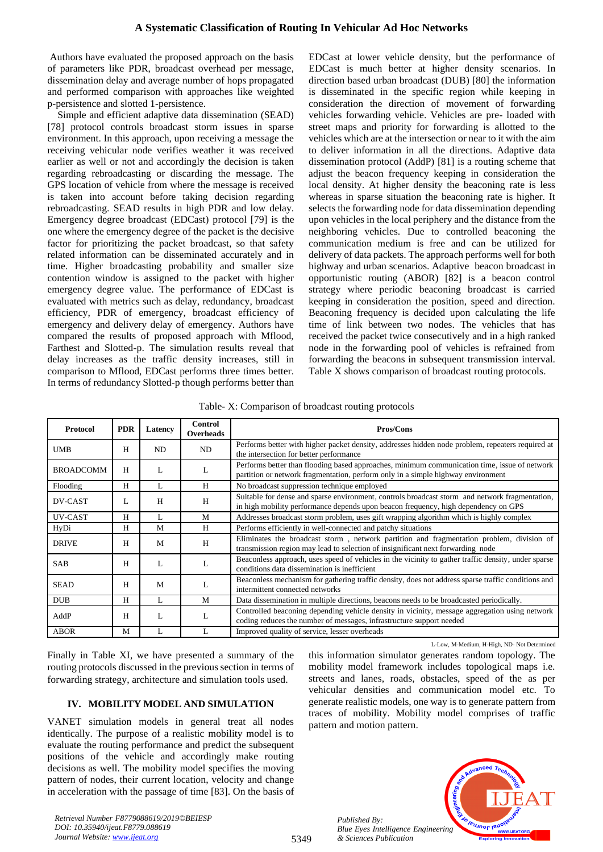Authors have evaluated the proposed approach on the basis of parameters like PDR, broadcast overhead per message, dissemination delay and average number of hops propagated and performed comparison with approaches like weighted p-persistence and slotted 1-persistence.

Simple and efficient adaptive data dissemination (SEAD) [78] protocol controls broadcast storm issues in sparse environment. In this approach, upon receiving a message the receiving vehicular node verifies weather it was received earlier as well or not and accordingly the decision is taken regarding rebroadcasting or discarding the message. The GPS location of vehicle from where the message is received is taken into account before taking decision regarding rebroadcasting. SEAD results in high PDR and low delay. Emergency degree broadcast (EDCast) protocol [79] is the one where the emergency degree of the packet is the decisive factor for prioritizing the packet broadcast, so that safety related information can be disseminated accurately and in time. Higher broadcasting probability and smaller size contention window is assigned to the packet with higher emergency degree value. The performance of EDCast is evaluated with metrics such as delay, redundancy, broadcast efficiency, PDR of emergency, broadcast efficiency of emergency and delivery delay of emergency. Authors have compared the results of proposed approach with Mflood, Farthest and Slotted-p. The simulation results reveal that delay increases as the traffic density increases, still in comparison to Mflood, EDCast performs three times better. In terms of redundancy Slotted-p though performs better than EDCast at lower vehicle density, but the performance of EDCast is much better at higher density scenarios. In direction based urban broadcast (DUB) [80] the information is disseminated in the specific region while keeping in consideration the direction of movement of forwarding vehicles forwarding vehicle. Vehicles are pre- loaded with street maps and priority for forwarding is allotted to the vehicles which are at the intersection or near to it with the aim to deliver information in all the directions. Adaptive data dissemination protocol (AddP) [81] is a routing scheme that adjust the beacon frequency keeping in consideration the local density. At higher density the beaconing rate is less whereas in sparse situation the beaconing rate is higher. It selects the forwarding node for data dissemination depending upon vehicles in the local periphery and the distance from the neighboring vehicles. Due to controlled beaconing the communication medium is free and can be utilized for delivery of data packets. The approach performs well for both highway and urban scenarios. Adaptive beacon broadcast in opportunistic routing (ABOR) [82] is a beacon control strategy where periodic beaconing broadcast is carried keeping in consideration the position, speed and direction. Beaconing frequency is decided upon calculating the life time of link between two nodes. The vehicles that has received the packet twice consecutively and in a high ranked node in the forwarding pool of vehicles is refrained from forwarding the beacons in subsequent transmission interval. Table X shows comparison of broadcast routing protocols.

Table- X: Comparison of broadcast routing protocols

| <b>Protocol</b>  | <b>PDR</b> | Latency | <b>Control</b><br><b>Overheads</b>                                                                                                         | Pros/Cons                                                                                                                                                                            |  |
|------------------|------------|---------|--------------------------------------------------------------------------------------------------------------------------------------------|--------------------------------------------------------------------------------------------------------------------------------------------------------------------------------------|--|
| <b>UMB</b>       | H          | ND      | ND                                                                                                                                         | Performs better with higher packet density, addresses hidden node problem, repeaters required at<br>the intersection for better performance                                          |  |
| <b>BROADCOMM</b> | H          | L       | L                                                                                                                                          | Performs better than flooding based approaches, minimum communication time, issue of network<br>partition or network fragmentation, perform only in a simple highway environment     |  |
| Flooding         | H          | L       | H                                                                                                                                          | No broadcast suppression technique employed                                                                                                                                          |  |
| <b>DV-CAST</b>   | L          | H       | H                                                                                                                                          | Suitable for dense and sparse environment, controls broadcast storm and network fragmentation,<br>in high mobility performance depends upon beacon frequency, high dependency on GPS |  |
| UV-CAST          | H          | L       | M                                                                                                                                          | Addresses broadcast storm problem, uses gift wrapping algorithm which is highly complex                                                                                              |  |
| HyDi             | H          | M       | H                                                                                                                                          | Performs efficiently in well-connected and patchy situations                                                                                                                         |  |
| <b>DRIVE</b>     | H          | M       | H                                                                                                                                          | Eliminates the broadcast storm, network partition and fragmentation problem, division of<br>transmission region may lead to selection of insignificant next forwarding node          |  |
| <b>SAB</b>       | H          | L       |                                                                                                                                            | Beaconless approach, uses speed of vehicles in the vicinity to gather traffic density, under sparse<br>conditions data dissemination is inefficient                                  |  |
| <b>SEAD</b>      | H          | M       | Beaconless mechanism for gathering traffic density, does not address sparse traffic conditions and<br>L<br>intermittent connected networks |                                                                                                                                                                                      |  |
| <b>DUB</b>       | H          | L       | M                                                                                                                                          | Data dissemination in multiple directions, beacons needs to be broadcasted periodically.                                                                                             |  |
| AddP             | H          | L       | L                                                                                                                                          | Controlled beaconing depending vehicle density in vicinity, message aggregation using network<br>coding reduces the number of messages, infrastructure support needed                |  |
| <b>ABOR</b>      | M          | L       |                                                                                                                                            | Improved quality of service, lesser overheads                                                                                                                                        |  |

5349

L-Low, M-Medium, H-High, ND- Not Determined

Finally in Table XI, we have presented a summary of the routing protocols discussed in the previous section in terms of forwarding strategy, architecture and simulation tools used.

# **IV. MOBILITY MODEL AND SIMULATION**

VANET simulation models in general treat all nodes identically. The purpose of a realistic mobility model is to evaluate the routing performance and predict the subsequent positions of the vehicle and accordingly make routing decisions as well. The mobility model specifies the moving pattern of nodes, their current location, velocity and change in acceleration with the passage of time [83]. On the basis of

this information simulator generates random topology. The mobility model framework includes topological maps i.e. streets and lanes, roads, obstacles, speed of the as per vehicular densities and communication model etc. To generate realistic models, one way is to generate pattern from traces of mobility. Mobility model comprises of traffic pattern and motion pattern.

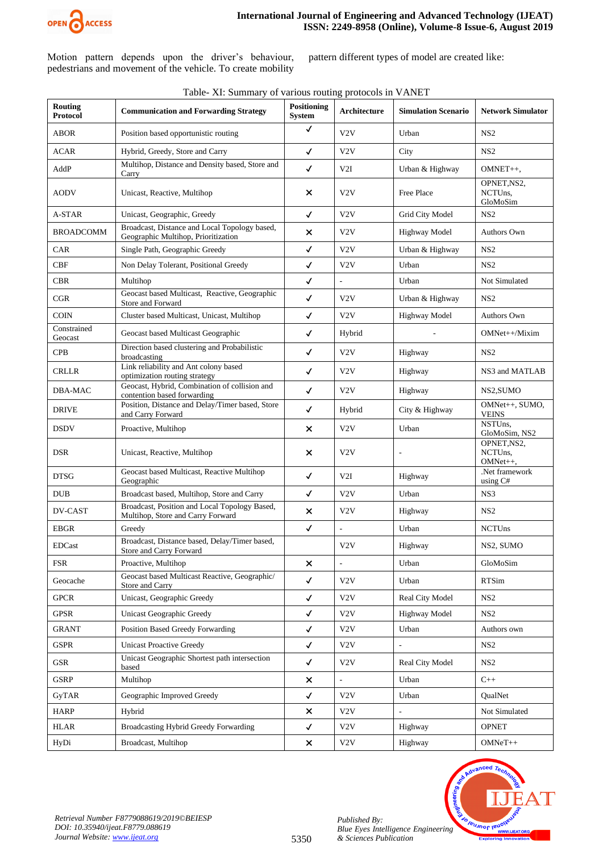

Motion pattern depends upon the driver's behaviour, pedestrians and movement of the vehicle. To create mobility

pattern different types of model are created like:

| <b>Routing</b><br>Protocol | <b>Communication and Forwarding Strategy</b>                                         | <b>Positioning</b><br><b>System</b> | Architecture     | <b>Simulation Scenario</b> | <b>Network Simulator</b>              |
|----------------------------|--------------------------------------------------------------------------------------|-------------------------------------|------------------|----------------------------|---------------------------------------|
| <b>ABOR</b>                | Position based opportunistic routing                                                 | $\checkmark$                        | V2V              | Urban                      | NS <sub>2</sub>                       |
| <b>ACAR</b>                | Hybrid, Greedy, Store and Carry                                                      | $\checkmark$                        | V2V              | City                       | NS2                                   |
| AddP                       | Multihop, Distance and Density based, Store and<br>Carry                             | $\checkmark$                        | V2I              | Urban & Highway            | OMNET++,                              |
| AODV                       | Unicast, Reactive, Multihop                                                          | ×                                   | V <sub>2</sub> V | Free Place                 | OPNET, NS2,<br>NCTUns.<br>GloMoSim    |
| A-STAR                     | Unicast, Geographic, Greedy                                                          | ✓                                   | V <sub>2</sub> V | Grid City Model            | NS <sub>2</sub>                       |
| <b>BROADCOMM</b>           | Broadcast, Distance and Local Topology based,<br>Geographic Multihop, Prioritization | ×                                   | V2V              | <b>Highway Model</b>       | Authors Own                           |
| CAR                        | Single Path, Geographic Greedy                                                       | $\checkmark$                        | V <sub>2</sub> V | Urban & Highway            | NS <sub>2</sub>                       |
| CBF                        | Non Delay Tolerant, Positional Greedy                                                | $\checkmark$                        | V2V              | Urban                      | NS <sub>2</sub>                       |
| <b>CBR</b>                 | Multihop                                                                             | $\checkmark$                        |                  | Urban                      | Not Simulated                         |
| CGR                        | Geocast based Multicast, Reactive, Geographic<br>Store and Forward                   | $\checkmark$                        | V2V              | Urban & Highway            | NS <sub>2</sub>                       |
| <b>COIN</b>                | Cluster based Multicast, Unicast, Multihop                                           | $\checkmark$                        | V2V              | <b>Highway Model</b>       | <b>Authors Own</b>                    |
| Constrained<br>Geocast     | Geocast based Multicast Geographic                                                   | $\checkmark$                        | Hybrid           |                            | OMNet++/Mixim                         |
| <b>CPB</b>                 | Direction based clustering and Probabilistic<br>broadcasting                         | $\checkmark$                        | V <sub>2</sub> V | Highway                    | NS <sub>2</sub>                       |
| <b>CRLLR</b>               | Link reliability and Ant colony based<br>optimization routing strategy               | $\checkmark$                        | V2V              | Highway                    | NS3 and MATLAB                        |
| DBA-MAC                    | Geocast, Hybrid, Combination of collision and<br>contention based forwarding         | $\checkmark$                        | V2V              | Highway                    | NS2,SUMO                              |
| <b>DRIVE</b>               | Position, Distance and Delay/Timer based, Store<br>and Carry Forward                 | $\checkmark$                        | Hybrid           | City & Highway             | OMNet++, SUMO,<br><b>VEINS</b>        |
| <b>DSDV</b>                | Proactive, Multihop                                                                  | $\times$                            | V2V              | Urban                      | NSTUns,<br>GloMoSim, NS2              |
| <b>DSR</b>                 | Unicast, Reactive, Multihop                                                          | ×                                   | V <sub>2</sub> V |                            | OPNET, NS2,<br>NCTUns.<br>$OMNet++$ , |
| <b>DTSG</b>                | Geocast based Multicast, Reactive Multihop<br>Geographic                             | ✓                                   | V2I              | Highway                    | .Net framework<br>using C#            |
| <b>DUB</b>                 | Broadcast based, Multihop, Store and Carry                                           | ✓                                   | V <sub>2</sub> V | Urban                      | NS3                                   |
| DV-CAST                    | Broadcast, Position and Local Topology Based,<br>Multihop, Store and Carry Forward   | ×                                   | V2V              | Highway                    | NS <sub>2</sub>                       |
| <b>EBGR</b>                | Greedy                                                                               | $\checkmark$                        |                  | Urban                      | <b>NCTUns</b>                         |
| <b>EDCast</b>              | Broadcast, Distance based, Delay/Timer based,<br>Store and Carry Forward             |                                     | V <sub>2</sub> V | Highway                    | NS2, SUMO                             |
| <b>FSR</b>                 | Proactive, Multihop                                                                  | $\pmb{\times}$                      |                  | Urban                      | GloMoSim                              |
| Geocache                   | Geocast based Multicast Reactive, Geographic/<br>Store and Carry                     | $\checkmark$                        | V2V              | Urban                      | <b>RTSim</b>                          |
| <b>GPCR</b>                | Unicast, Geographic Greedy                                                           | $\checkmark$                        | V2V              | Real City Model            | NS <sub>2</sub>                       |
| <b>GPSR</b>                | <b>Unicast Geographic Greedy</b>                                                     | $\checkmark$                        | V <sub>2</sub> V | Highway Model              | NS <sub>2</sub>                       |
| <b>GRANT</b>               | Position Based Greedy Forwarding                                                     | $\checkmark$                        | V2V              | Urban                      | Authors own                           |
| <b>GSPR</b>                | <b>Unicast Proactive Greedy</b>                                                      | $\checkmark$                        | V2V              |                            | NS <sub>2</sub>                       |
| <b>GSR</b>                 | Unicast Geographic Shortest path intersection<br>based                               | $\checkmark$                        | V2V              | <b>Real City Model</b>     | NS <sub>2</sub>                       |
| <b>GSRP</b>                | Multihop                                                                             | ×                                   |                  | Urban                      | $C++$                                 |
| GyTAR                      | Geographic Improved Greedy                                                           | $\checkmark$                        | V2V              | Urban                      | QualNet                               |
| <b>HARP</b>                | Hybrid                                                                               | $\pmb{\times}$                      | V2V              | $\frac{1}{2}$              | Not Simulated                         |
| <b>HLAR</b>                | Broadcasting Hybrid Greedy Forwarding                                                | $\checkmark$                        | V2V              | Highway                    | <b>OPNET</b>                          |
| HyDi                       | Broadcast, Multihop                                                                  | $\pmb{\times}$                      | V2V              | Highway                    | $OMNeT++$                             |

5350

#### Table- XI: Summary of various routing protocols in VANET

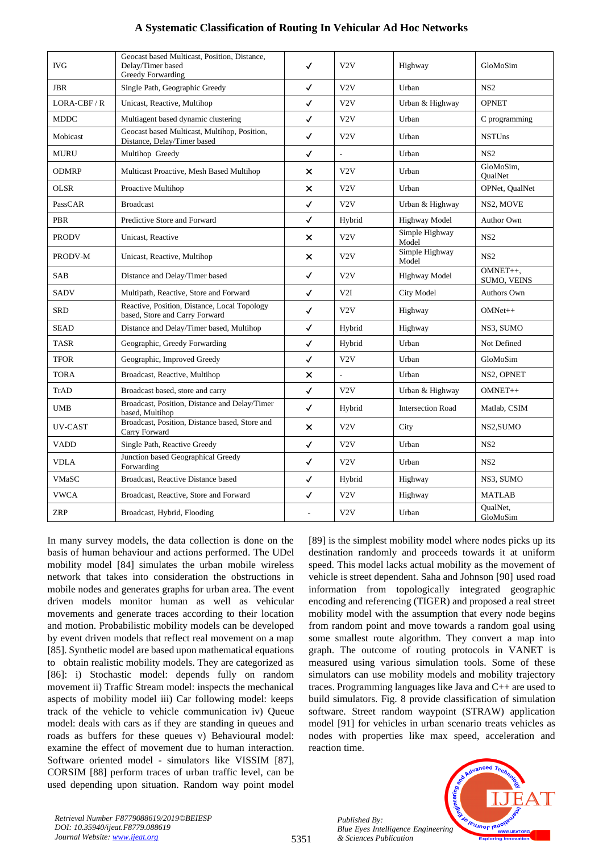|  |  | A Systematic Classification of Routing In Vehicular Ad Hoc Networks |
|--|--|---------------------------------------------------------------------|
|  |  |                                                                     |

| <b>IVG</b>   | Geocast based Multicast, Position, Distance,<br>Delay/Timer based<br>Greedy Forwarding | √                         | V2V                      | Highway                  | GloMoSim                       |
|--------------|----------------------------------------------------------------------------------------|---------------------------|--------------------------|--------------------------|--------------------------------|
| <b>JBR</b>   | Single Path, Geographic Greedy                                                         | $\checkmark$              | V2V                      | Urban                    | NS <sub>2</sub>                |
| $LORA-CBF/R$ | Unicast, Reactive, Multihop                                                            | $\checkmark$              | V2V                      | Urban & Highway          | <b>OPNET</b>                   |
| <b>MDDC</b>  | Multiagent based dynamic clustering                                                    | $\checkmark$              | V2V                      | Urban                    | C programming                  |
| Mobicast     | Geocast based Multicast, Multihop, Position,<br>Distance, Delay/Timer based            | $\checkmark$              | V2V                      | Urban                    | <b>NSTUns</b>                  |
| <b>MURU</b>  | Multihop Greedy                                                                        | $\checkmark$              | $\overline{\phantom{a}}$ | Urban                    | NS <sub>2</sub>                |
| <b>ODMRP</b> | Multicast Proactive, Mesh Based Multihop                                               | $\times$                  | V2V                      | Urban                    | GloMoSim.<br><b>OualNet</b>    |
| <b>OLSR</b>  | Proactive Multihop                                                                     | $\boldsymbol{\mathsf{x}}$ | V2V                      | Urban                    | OPNet, QualNet                 |
| PassCAR      | <b>Broadcast</b>                                                                       | $\checkmark$              | V2V                      | Urban & Highway          | NS2, MOVE                      |
| <b>PBR</b>   | Predictive Store and Forward                                                           | $\checkmark$              | Hybrid                   | <b>Highway Model</b>     | Author Own                     |
| <b>PRODV</b> | Unicast, Reactive                                                                      | ×                         | V2V                      | Simple Highway<br>Model  | NS <sub>2</sub>                |
| PRODV-M      | Unicast, Reactive, Multihop                                                            | $\boldsymbol{\mathsf{x}}$ | V2V                      | Simple Highway<br>Model  | NS2                            |
| <b>SAB</b>   | Distance and Delay/Timer based                                                         | $\checkmark$              | V2V                      | <b>Highway Model</b>     | OMNET++,<br><b>SUMO, VEINS</b> |
| <b>SADV</b>  | Multipath, Reactive, Store and Forward                                                 | $\checkmark$              | V2I                      | <b>City Model</b>        | <b>Authors Own</b>             |
| <b>SRD</b>   | Reactive, Position, Distance, Local Topology<br>based, Store and Carry Forward         | $\checkmark$              | V2V                      | Highway                  | $OMNet++$                      |
| <b>SEAD</b>  | Distance and Delay/Timer based, Multihop                                               | $\checkmark$              | Hybrid                   | Highway                  | NS3, SUMO                      |
| <b>TASR</b>  | Geographic, Greedy Forwarding                                                          | $\checkmark$              | Hybrid                   | Urban                    | Not Defined                    |
| <b>TFOR</b>  | Geographic, Improved Greedy                                                            | $\checkmark$              | V2V                      | Urban                    | GloMoSim                       |
| <b>TORA</b>  | Broadcast, Reactive, Multihop                                                          | ×                         |                          | Urban                    | NS2, OPNET                     |
| TrAD         | Broadcast based, store and carry                                                       | $\checkmark$              | V2V                      | Urban & Highway          | OMNET++                        |
| <b>UMB</b>   | Broadcast, Position, Distance and Delay/Timer<br>based, Multihop                       | $\checkmark$              | Hybrid                   | <b>Intersection Road</b> | Matlab, CSIM                   |
| UV-CAST      | Broadcast, Position, Distance based, Store and<br>Carry Forward                        | ×                         | V2V                      | City                     | NS2, SUMO                      |
| <b>VADD</b>  | Single Path, Reactive Greedy                                                           | $\checkmark$              | V2V                      | Urban                    | NS <sub>2</sub>                |
| <b>VDLA</b>  | Junction based Geographical Greedy<br>Forwarding                                       | $\checkmark$              | V2V                      | Urban                    | NS <sub>2</sub>                |
| <b>VMaSC</b> | Broadcast, Reactive Distance based                                                     | $\checkmark$              | Hybrid                   | Highway                  | NS3, SUMO                      |
| <b>VWCA</b>  | Broadcast, Reactive, Store and Forward                                                 | $\checkmark$              | V2V                      | Highway                  | <b>MATLAB</b>                  |
| <b>ZRP</b>   | Broadcast, Hybrid, Flooding                                                            |                           | V2V                      | Urban                    | OualNet.<br>GloMoSim           |

In many survey models, the data collection is done on the basis of human behaviour and actions performed. The UDel mobility model [84] simulates the urban mobile wireless network that takes into consideration the obstructions in mobile nodes and generates graphs for urban area. The event driven models monitor human as well as vehicular movements and generate traces according to their location and motion. Probabilistic mobility models can be developed by event driven models that reflect real movement on a map [85]. Synthetic model are based upon mathematical equations to obtain realistic mobility models. They are categorized as [86]: i) Stochastic model: depends fully on random movement ii) Traffic Stream model: inspects the mechanical aspects of mobility model iii) Car following model: keeps track of the vehicle to vehicle communication iv) Queue model: deals with cars as if they are standing in queues and roads as buffers for these queues v) Behavioural model: examine the effect of movement due to human interaction. Software oriented model - simulators like VISSIM [87], CORSIM [88] perform traces of urban traffic level, can be used depending upon situation. Random way point model [89] is the simplest mobility model where nodes picks up its destination randomly and proceeds towards it at uniform speed. This model lacks actual mobility as the movement of vehicle is street dependent. Saha and Johnson [90] used road information from topologically integrated geographic encoding and referencing (TIGER) and proposed a real street mobility model with the assumption that every node begins from random point and move towards a random goal using some smallest route algorithm. They convert a map into graph. The outcome of routing protocols in VANET is measured using various simulation tools. Some of these simulators can use mobility models and mobility trajectory traces. Programming languages like Java and C++ are used to build simulators. Fig. 8 provide classification of simulation software. Street random waypoint (STRAW) application model [91] for vehicles in urban scenario treats vehicles as nodes with properties like max speed, acceleration and reaction time.

*Retrieval Number F8779088619/2019©BEIESP DOI: 10.35940/ijeat.F8779.088619 Journal Website[: www.ijeat.org](http://www.ijeat.org/)*

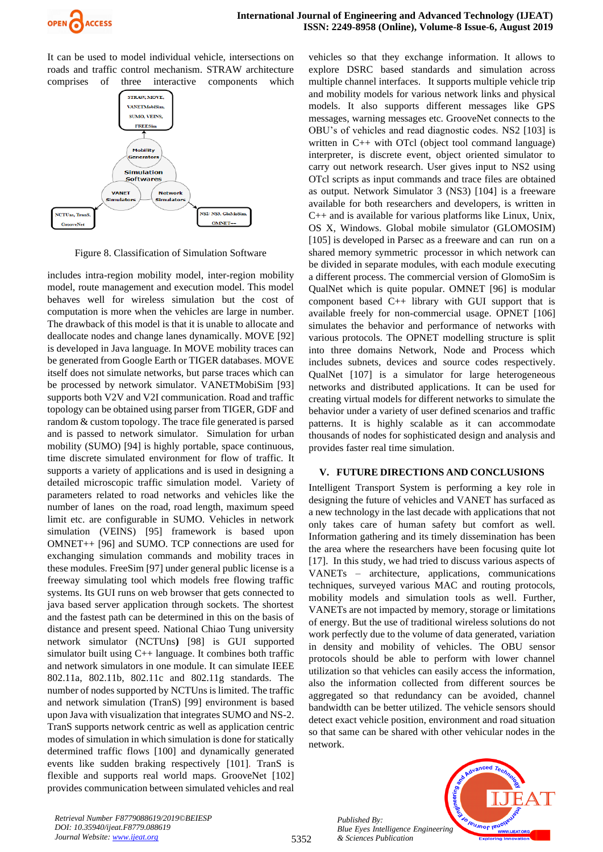

It can be used to model individual vehicle, intersections on roads and traffic control mechanism. STRAW architecture comprises of three interactive components which



Figure 8. Classification of Simulation Software

includes intra-region mobility model, inter-region mobility model, route management and execution model. This model behaves well for wireless simulation but the cost of computation is more when the vehicles are large in number. The drawback of this model is that it is unable to allocate and deallocate nodes and change lanes dynamically. MOVE [92] is developed in Java language. In MOVE mobility traces can be generated from Google Earth or TIGER databases. MOVE itself does not simulate networks, but parse traces which can be processed by network simulator. VANETMobiSim [93] supports both V2V and V2I communication. Road and traffic topology can be obtained using parser from TIGER, GDF and random & custom topology. The trace file generated is parsed and is passed to network simulator. Simulation for urban mobility (SUMO) [94] is highly portable, space continuous, time discrete simulated environment for flow of traffic. It supports a variety of applications and is used in designing a detailed microscopic traffic simulation model. Variety of parameters related to road networks and vehicles like the number of lanes on the road, road length, maximum speed limit etc. are configurable in SUMO. Vehicles in network simulation (VEINS) [95] framework is based upon OMNET++ [96] and SUMO. TCP connections are used for exchanging simulation commands and mobility traces in these modules. FreeSim [97] under general public license is a freeway simulating tool which models free flowing traffic systems. Its GUI runs on web browser that gets connected to java based server application through sockets. The shortest and the fastest path can be determined in this on the basis of distance and present speed. National Chiao Tung university network simulator (NCTUns**)** [98] is GUI supported simulator built using  $C_{++}$  language. It combines both traffic and network simulators in one module. It can simulate IEEE 802.11a, 802.11b, 802.11c and 802.11g standards. The number of nodes supported by NCTUns is limited. The traffic and network simulation (TranS) [99] environment is based upon Java with visualization that integrates SUMO and NS-2. TranS supports network centric as well as application centric modes of simulation in which simulation is done for statically determined traffic flows [100] and dynamically generated events like sudden braking respectively [101]. TranS is flexible and supports real world maps. GrooveNet [102] provides communication between simulated vehicles and real vehicles so that they exchange information. It allows to explore DSRC based standards and simulation across multiple channel interfaces. It supports multiple vehicle trip and mobility models for various network links and physical models. It also supports different messages like GPS messages, warning messages etc. GrooveNet connects to the OBU's of vehicles and read diagnostic codes. NS2 [103] is written in C++ with OTcl (object tool command language) interpreter, is discrete event, object oriented simulator to carry out network research. User gives input to NS2 using OTcl scripts as input commands and trace files are obtained as output. Network Simulator 3 (NS3) [104] is a freeware available for both researchers and developers, is written in C++ and is available for various platforms like Linux, Unix, OS X, Windows. Global mobile simulator (GLOMOSIM) [105] is developed in Parsec as a freeware and can run on a shared memory symmetric processor in which network can be divided in separate modules, with each module executing a different process. The commercial version of GlomoSim is QualNet which is quite popular. OMNET [96] is modular component based C++ library with GUI support that is available freely for non-commercial usage. OPNET [106] simulates the behavior and performance of networks with various protocols. The OPNET modelling structure is split into three domains Network, Node and Process which includes subnets, devices and source codes respectively. QualNet [107] is a simulator for large heterogeneous networks and distributed applications. It can be used for creating virtual models for different networks to simulate the behavior under a variety of user defined scenarios and traffic patterns. It is highly scalable as it can accommodate thousands of nodes for sophisticated design and analysis and provides faster real time simulation.

#### **V. FUTURE DIRECTIONS AND CONCLUSIONS**

Intelligent Transport System is performing a key role in designing the future of vehicles and VANET has surfaced as a new technology in the last decade with applications that not only takes care of human safety but comfort as well. Information gathering and its timely dissemination has been the area where the researchers have been focusing quite lot [17]. In this study, we had tried to discuss various aspects of VANETs – architecture, applications, communications techniques, surveyed various MAC and routing protocols, mobility models and simulation tools as well. Further, VANETs are not impacted by memory, storage or limitations of energy. But the use of traditional wireless solutions do not work perfectly due to the volume of data generated, variation in density and mobility of vehicles. The OBU sensor protocols should be able to perform with lower channel utilization so that vehicles can easily access the information, also the information collected from different sources be aggregated so that redundancy can be avoided, channel bandwidth can be better utilized. The vehicle sensors should detect exact vehicle position, environment and road situation so that same can be shared with other vehicular nodes in the network.



*Retrieval Number F8779088619/2019©BEIESP DOI: 10.35940/ijeat.F8779.088619 Journal Website[: www.ijeat.org](http://www.ijeat.org/)*

*Published By:*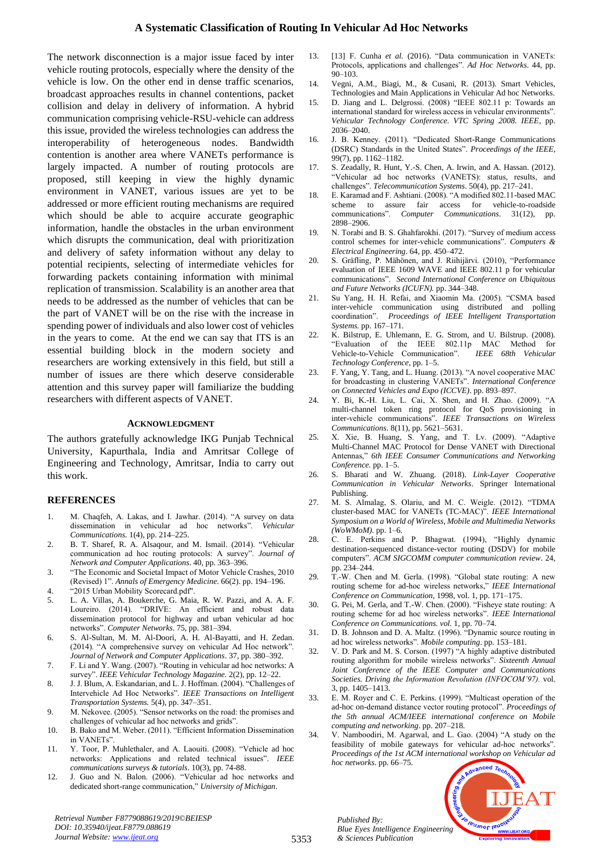The network disconnection is a major issue faced by inter vehicle routing protocols, especially where the density of the vehicle is low. On the other end in dense traffic scenarios, broadcast approaches results in channel contentions, packet collision and delay in delivery of information. A hybrid communication comprising vehicle-RSU-vehicle can address this issue, provided the wireless technologies can address the interoperability of heterogeneous nodes. Bandwidth contention is another area where VANETs performance is largely impacted. A number of routing protocols are proposed, still keeping in view the highly dynamic environment in VANET, various issues are yet to be addressed or more efficient routing mechanisms are required which should be able to acquire accurate geographic information, handle the obstacles in the urban environment which disrupts the communication, deal with prioritization and delivery of safety information without any delay to potential recipients, selecting of intermediate vehicles for forwarding packets containing information with minimal replication of transmission. Scalability is an another area that needs to be addressed as the number of vehicles that can be the part of VANET will be on the rise with the increase in spending power of individuals and also lower cost of vehicles in the years to come. At the end we can say that ITS is an essential building block in the modern society and researchers are working extensively in this field, but still a number of issues are there which deserve considerable attention and this survey paper will familiarize the budding researchers with different aspects of VANET.

#### **ACKNOWLEDGMENT**

The authors gratefully acknowledge IKG Punjab Technical University, Kapurthala, India and Amritsar College of Engineering and Technology, Amritsar, India to carry out this work.

#### **REFERENCES**

- 1. M. Chaqfeh, A. Lakas, and I. Jawhar. (2014). "A survey on data dissemination in vehicular ad hoc networks". *Vehicular Communications.* 1(4), pp. 214–225.
- 2. B. T. Sharef, R. A. Alsaqour, and M. Ismail. (2014). "Vehicular communication ad hoc routing protocols: A survey". *Journal of Network and Computer Applications*. 40, pp. 363–396.
- 3. "The Economic and Societal Impact of Motor Vehicle Crashes, 2010 (Revised) 1". *Annals of Emergency Medicine*. 66(2). pp. 194–196.
- 4. "2015 Urban Mobility Scorecard.pdf".
- 5. L. A. Villas, A. Boukerche, G. Maia, R. W. Pazzi, and A. A. F. Loureiro. (2014). "DRIVE: An efficient and robust data dissemination protocol for highway and urban vehicular ad hoc networks". *Computer Networks*. 75, pp. 381–394.
- 6. S. Al-Sultan, M. M. Al-Doori, A. H. Al-Bayatti, and H. Zedan. (2014). "A comprehensive survey on vehicular Ad Hoc network". *Journal of Network and Computer Applications*. 37, pp. 380–392.
- 7. F. Li and Y. Wang. (2007). "Routing in vehicular ad hoc networks: A survey". *IEEE Vehicular Technology Magazine.* 2(2), pp. 12–22.
- 8. J. J. Blum, A. Eskandarian, and L. J. Hoffman. (2004). "Challenges of Intervehicle Ad Hoc Networks". *IEEE Transactions on Intelligent Transportation Systems.* 5(4), pp. 347–351.
- 9. M. Nekovee. (2005). "Sensor networks on the road: the promises and challenges of vehicular ad hoc networks and grids".
- 10. B. Bako and M. Weber. (2011). "Efficient Information Dissemination in VANETs".
- 11. Y. Toor, P. Muhlethaler, and A. Laouiti. (2008). "Vehicle ad hoc networks: Applications and related technical issues". *IEEE communications surveys & tutorials*. 10(3), pp. 74-88.
- 12. J. Guo and N. Balon. (2006). "Vehicular ad hoc networks and dedicated short-range communication," *University of Michigan*.

13. [13] F. Cunha *et al.* (2016). "Data communication in VANETs: Protocols, applications and challenges". *Ad Hoc Networks*. 44, pp. 90–103.

- 14. Vegni, A.M., Biagi, M., & Cusani, R. (2013). Smart Vehicles, Technologies and Main Applications in Vehicular Ad hoc Networks.
- 15. D. Jiang and L. Delgrossi. (2008) "IEEE 802.11 p: Towards an international standard for wireless access in vehicular environments". *Vehicular Technology Conference. VTC Spring 2008. IEEE*, pp. 2036–2040.
- 16. J. B. Kenney. (2011). "Dedicated Short-Range Communications (DSRC) Standards in the United States". *Proceedings of the IEEE*, 99(7), pp. 1162–1182.
- 17. S. Zeadally, R. Hunt, Y.-S. Chen, A. Irwin, and A. Hassan. (2012). "Vehicular ad hoc networks (VANETS): status, results, and challenges". *Telecommunication Systems*. 50(4), pp. 217–241.
- 18. E. Karamad and F. Ashtiani. (2008). "A modified 802.11-based MAC scheme to assure fair access for vehicle-to-roadside assure fair access for vehicle-to-roadside communications". *Computer Communications*. 31(12), pp. 2898–2906.
- 19. N. Torabi and B. S. Ghahfarokhi. (2017). "Survey of medium access control schemes for inter-vehicle communications". *Computers & Electrical Engineering*. 64, pp. 450–472.
- 20. S. Gräfling, P. Mähönen, and J. Riihijärvi. (2010), "Performance evaluation of IEEE 1609 WAVE and IEEE 802.11 p for vehicular communications". *Second International Conference on Ubiquitous and Future Networks (ICUFN).* pp. 344–348.
- 21. Su Yang, H. H. Refai, and Xiaomin Ma. (2005). "CSMA based inter-vehicle communication using distributed and polling coordination". *Proceedings of IEEE Intelligent Transportation Systems.* pp. 167–171.
- 22. K. Bilstrup, E. Uhlemann, E. G. Strom, and U. Bilstrup. (2008). "Evaluation of the IEEE 802.11p MAC Method for Vehicle-to-Vehicle Communication". *IEEE 68th Vehicular Technology Conference*, pp. 1–5.
- 23. F. Yang, Y. Tang, and L. Huang. (2013). "A novel cooperative MAC for broadcasting in clustering VANETs". *International Conference on Connected Vehicles and Expo (ICCVE)*. pp. 893–897.
- 24. Y. Bi, K.-H. Liu, L. Cai, X. Shen, and H. Zhao. (2009). "A multi-channel token ring protocol for QoS provisioning in inter-vehicle communications". *IEEE Transactions on Wireless Communications*. 8(11), pp. 5621–5631.
- 25. X. Xie, B. Huang, S. Yang, and T. Lv. (2009). "Adaptive Multi-Channel MAC Protocol for Dense VANET with Directional Antennas," *6th IEEE Consumer Communications and Networking Conference.* pp. 1–5.
- 26. S. Bharati and W. Zhuang. (2018). *Link-Layer Cooperative Communication in Vehicular Networks*. Springer International Publishing.
- 27. M. S. Almalag, S. Olariu, and M. C. Weigle. (2012). "TDMA cluster-based MAC for VANETs (TC-MAC)". *IEEE International Symposium on a World of Wireless, Mobile and Multimedia Networks (WoWMoM).* pp. 1–6.
- 28. C. E. Perkins and P. Bhagwat. (1994), "Highly dynamic destination-sequenced distance-vector routing (DSDV) for mobile computers". *ACM SIGCOMM computer communication review*. 24, pp. 234–244.
- 29. T.-W. Chen and M. Gerla. (1998). "Global state routing: A new routing scheme for ad-hoc wireless networks," *IEEE International Conference on Communication*, 1998, vol. 1, pp. 171–175.
- 30. G. Pei, M. Gerla, and T.-W. Chen. (2000). "Fisheye state routing: A routing scheme for ad hoc wireless networks". *IEEE International Conference on Communications. vol.* 1, pp. 70–74.
- 31. D. B. Johnson and D. A. Maltz. (1996). "Dynamic source routing in ad hoc wireless networks". *Mobile computing*. pp. 153–181.
- 32. V. D. Park and M. S. Corson. (1997) "A highly adaptive distributed routing algorithm for mobile wireless networks". *Sixteenth Annual Joint Conference of the IEEE Computer and Communications Societies. Driving the Information Revolution (INFOCOM'97).* vol. 3, pp. 1405–1413.
- 33. E. M. Royer and C. E. Perkins. (1999). "Multicast operation of the ad-hoc on-demand distance vector routing protocol". *Proceedings of the 5th annual ACM/IEEE international conference on Mobile computing and networking*. pp. 207–218.
- 34. V. Namboodiri, M. Agarwal, and L. Gao. (2004) "A study on the feasibility of mobile gateways for vehicular ad-hoc networks". *Proceedings of the 1st ACM international workshop on Vehicular ad hoc networks*. pp. 66–75.



*Retrieval Number F8779088619/2019©BEIESP DOI: 10.35940/ijeat.F8779.088619 Journal Website[: www.ijeat.org](http://www.ijeat.org/)*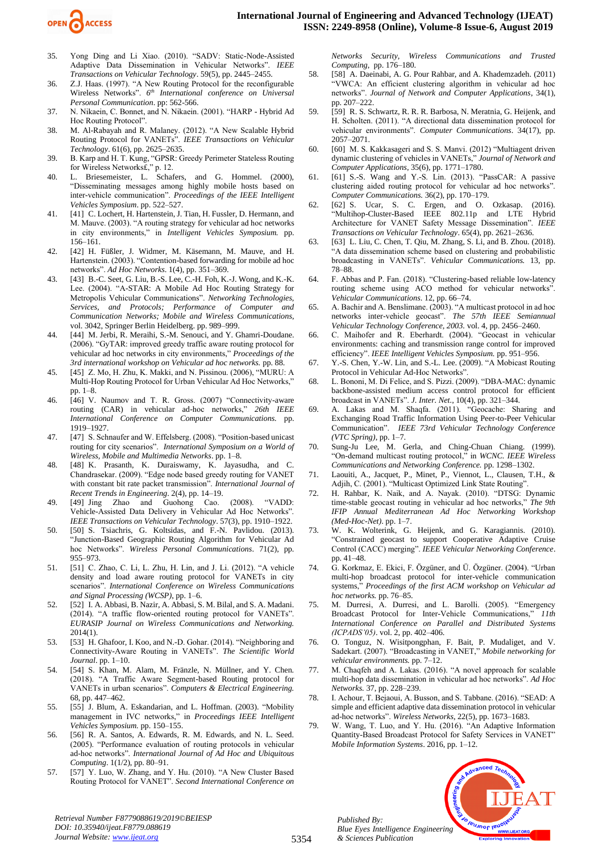

- 35. Yong Ding and Li Xiao. (2010). "SADV: Static-Node-Assisted Adaptive Data Dissemination in Vehicular Networks". *IEEE Transactions on Vehicular Technology*. 59(5), pp. 2445–2455.
- 36. Z.J. Haas. (1997). "A New Routing Protocol for the reconfigurable Wireless Networks". *6 th International conference on Universal Personal Communication*. pp: 562-566.
- 37. N. Nikaein, C. Bonnet, and N. Nikaein. (2001). "HARP Hybrid Ad Hoc Routing Protocol".
- 38. M. Al-Rabayah and R. Malaney. (2012). "A New Scalable Hybrid Routing Protocol for VANETs". *IEEE Transactions on Vehicular Technology*. 61(6), pp. 2625–2635.
- 39. B. Karp and H. T. Kung, "GPSR: Greedy Perimeter Stateless Routing for Wireless Networks£," p. 12.
- 40. L. Briesemeister, L. Schafers, and G. Hommel. (2000), "Disseminating messages among highly mobile hosts based on inter-vehicle communication". *Proceedings of the IEEE Intelligent Vehicles Symposium*. pp. 522–527.
- 41. [41] C. Lochert, H. Hartenstein, J. Tian, H. Fussler, D. Hermann, and M. Mauve. (2003). "A routing strategy for vehicular ad hoc networks in city environments," in *Intelligent Vehicles Symposium.* pp. 156–161.
- 42. [42] H. Füßler, J. Widmer, M. Käsemann, M. Mauve, and H. Hartenstein. (2003). "Contention-based forwarding for mobile ad hoc networks". *Ad Hoc Networks*. 1(4), pp. 351–369.
- 43. [43] B.-C. Seet, G. Liu, B.-S. Lee, C.-H. Foh, K.-J. Wong, and K.-K. Lee. (2004). "A-STAR: A Mobile Ad Hoc Routing Strategy for Metropolis Vehicular Communications". *Networking Technologies, Services, and Protocols; Performance of Computer and Communication Networks; Mobile and Wireless Communications*, vol. 3042, Springer Berlin Heidelberg. pp. 989–999.
- 44. [44] M. Jerbi, R. Meraihi, S.-M. Senouci, and Y. Ghamri-Doudane. (2006). "GyTAR: improved greedy traffic aware routing protocol for vehicular ad hoc networks in city environments," *Proceedings of the 3rd international workshop on Vehicular ad hoc networks.* pp. 88.
- 45. [45] Z. Mo, H. Zhu, K. Makki, and N. Pissinou. (2006), "MURU: A Multi-Hop Routing Protocol for Urban Vehicular Ad Hoc Networks," pp. 1–8.
- 46. [46] V. Naumov and T. R. Gross. (2007) "Connectivity-aware routing (CAR) in vehicular ad-hoc networks," *26th IEEE International Conference on Computer Communications.* pp. 1919–1927.
- 47. [47] S. Schnaufer and W. Effelsberg. (2008). "Position-based unicast routing for city scenarios". *International Symposium on a World of Wireless, Mobile and Multimedia Networks*. pp. 1–8.
- 48. [48] K. Prasanth, K. Duraiswamy, K. Jayasudha, and C. Chandrasekar. (2009). "Edge node based greedy routing for VANET with constant bit rate packet transmission". *International Journal of Recent Trends in Engineering*. 2(4), pp. 14–19.
- 49. [49] Jing Zhao and Guohong Cao. (2008). "VADD: Vehicle-Assisted Data Delivery in Vehicular Ad Hoc Networks". *IEEE Transactions on Vehicular Technology*. 57(3), pp. 1910–1922.
- 50. [50] S. Tsiachris, G. Koltsidas, and F.-N. Pavlidou. (2013). "Junction-Based Geographic Routing Algorithm for Vehicular Ad hoc Networks". *Wireless Personal Communications*. 71(2), pp. 955–973.
- 51. [51] C. Zhao, C. Li, L. Zhu, H. Lin, and J. Li. (2012). "A vehicle density and load aware routing protocol for VANETs in city scenarios". *International Conference on Wireless Communications and Signal Processing (WCSP)*, pp. 1–6.
- 52. [52] I. A. Abbasi, B. Nazir, A. Abbasi, S. M. Bilal, and S. A. Madani. (2014). "A traffic flow-oriented routing protocol for VANETs". *EURASIP Journal on Wireless Communications and Networking.* 2014(1).
- 53. [53] H. Ghafoor, I. Koo, and N.-D. Gohar. (2014). "Neighboring and Connectivity-Aware Routing in VANETs". *The Scientific World Journal*. pp. 1–10.
- 54. [54] S. Khan, M. Alam, M. Fränzle, N. Müllner, and Y. Chen. (2018). "A Traffic Aware Segment-based Routing protocol for VANETs in urban scenarios". *Computers & Electrical Engineering.* 68, pp. 447–462.
- 55. [55] J. Blum, A. Eskandarian, and L. Hoffman. (2003). "Mobility management in IVC networks," in *Proceedings IEEE Intelligent Vehicles Symposium.* pp. 150–155.
- 56. [56] R. A. Santos, A. Edwards, R. M. Edwards, and N. L. Seed. (2005). "Performance evaluation of routing protocols in vehicular ad-hoc networks". *International Journal of Ad Hoc and Ubiquitous Computing*. 1(1/2), pp. 80–91.
- 57. [57] Y. Luo, W. Zhang, and Y. Hu. (2010). "A New Cluster Based Routing Protocol for VANET". *Second International Conference on*

*Networks Security, Wireless Communications and Trusted Computing*, pp. 176–180.

- 58. [58] A. Daeinabi, A. G. Pour Rahbar, and A. Khademzadeh. (2011) "VWCA: An efficient clustering algorithm in vehicular ad hoc networks". *Journal of Network and Computer Applications*, 34(1), pp. 207–222.
- 59. [59] R. S. Schwartz, R. R. R. Barbosa, N. Meratnia, G. Heijenk, and H. Scholten. (2011). "A directional data dissemination protocol for vehicular environments". *Computer Communications*. 34(17), pp. 2057–2071.
- 60. [60] M. S. Kakkasageri and S. S. Manvi. (2012) "Multiagent driven dynamic clustering of vehicles in VANETs," *Journal of Network and Computer Applications*, 35(6), pp. 1771–1780.
- 61. [61] S.-S. Wang and Y.-S. Lin. (2013). "PassCAR: A passive clustering aided routing protocol for vehicular ad hoc networks". *Computer Communications.* 36(2), pp. 170–179.
- 62. [62] S. Ucar, S. C. Ergen, and O. Ozkasap. (2016). "Multihop-Cluster-Based IEEE 802.11p and LTE Hybrid Architecture for VANET Safety Message Dissemination". *IEEE Transactions on Vehicular Technology*. 65(4), pp. 2621–2636.
- 63. [63] L. Liu, C. Chen, T. Qiu, M. Zhang, S. Li, and B. Zhou. (2018). "A data dissemination scheme based on clustering and probabilistic broadcasting in VANETs". *Vehicular Communications.* 13, pp. 78–88.
- 64. F. Abbas and P. Fan. (2018). "Clustering-based reliable low-latency routing scheme using ACO method for vehicular networks". *Vehicular Communications*. 12, pp. 66–74.
- 65. A. Bachir and A. Benslimane. (2003). "A multicast protocol in ad hoc networks inter-vehicle geocast". *The 57th IEEE Semiannual Vehicular Technology Conference, 2003.* vol. 4, pp. 2456–2460.
- 66. C. Maihofer and R. Eberhardt. (2004). "Geocast in vehicular environments: caching and transmission range control for improved efficiency". *IEEE Intelligent Vehicles Symposium.* pp. 951–956.
- 67. Y.-S. Chen, Y.-W. Lin, and S.-L. Lee. (2009). "A Mobicast Routing Protocol in Vehicular Ad-Hoc Networks".
- 68. L. Bononi, M. Di Felice, and S. Pizzi. (2009). "DBA-MAC: dynamic backbone-assisted medium access control protocol for efficient broadcast in VANETs". *J. Inter. Net.*, 10(4), pp. 321–344.
- 69. A. Lakas and M. Shaqfa. (2011). "Geocache: Sharing and Exchanging Road Traffic Information Using Peer-to-Peer Vehicular Communication". *IEEE 73rd Vehicular Technology Conference (VTC Spring)*, pp. 1–7.
- 70. Sung-Ju Lee, M. Gerla, and Ching-Chuan Chiang. (1999). "On-demand multicast routing protocol," in *WCNC. IEEE Wireless Communications and Networking Conference.* pp. 1298–1302.
- 71. Laouiti, A., Jacquet, P., Minet, P., Viennot, L., Clausen, T.H., & Adjih, C. (2001). "Multicast Optimized Link State Routing".
- 72. H. Rahbar, K. Naik, and A. Nayak. (2010). "DTSG: Dynamic time-stable geocast routing in vehicular ad hoc networks," *The 9th IFIP Annual Mediterranean Ad Hoc Networking Workshop (Med-Hoc-Net)*. pp. 1–7.
- 73. W. K. Wolterink, G. Heijenk, and G. Karagiannis. (2010). "Constrained geocast to support Cooperative Adaptive Cruise Control (CACC) merging". *IEEE Vehicular Networking Conference*. pp. 41–48.
- 74. G. Korkmaz, E. Ekici, F. Özgüner, and Ü. Özgüner. (2004). "Urban multi-hop broadcast protocol for inter-vehicle communication systems," *Proceedings of the first ACM workshop on Vehicular ad hoc networks.* pp. 76–85.
- 75. M. Durresi, A. Durresi, and L. Barolli. (2005). "Emergency Broadcast Protocol for Inter-Vehicle Communications," *11th International Conference on Parallel and Distributed Systems (ICPADS'05)*. vol. 2, pp. 402–406.
- 76. O. Tonguz, N. Wisitpongphan, F. Bait, P. Mudaliget, and V. Sadekart. (2007). "Broadcasting in VANET," *Mobile networking for vehicular environments.* pp. 7–12.
- 77. M. Chaqfeh and A. Lakas. (2016). "A novel approach for scalable multi-hop data dissemination in vehicular ad hoc networks". *Ad Hoc Networks.* 37, pp. 228–239.
- 78. I. Achour, T. Bejaoui, A. Busson, and S. Tabbane. (2016). "SEAD: A simple and efficient adaptive data dissemination protocol in vehicular ad-hoc networks". *Wireless Networks*, 22(5), pp. 1673–1683.
- 79. W. Wang, T. Luo, and Y. Hu. (2016). "An Adaptive Information Quantity-Based Broadcast Protocol for Safety Services in VANET" *Mobile Information Systems*. 2016, pp. 1–12.



*Retrieval Number F8779088619/2019©BEIESP DOI: 10.35940/ijeat.F8779.088619 Journal Website[: www.ijeat.org](http://www.ijeat.org/)*